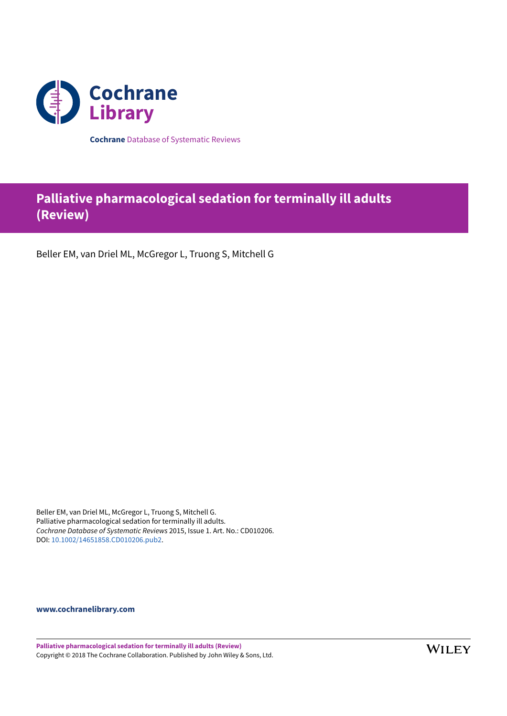

**Cochrane** Database of Systematic Reviews

# **Palliative pharmacological sedation for terminally ill adults (Review)**

Beller EM, van Driel ML, McGregor L, Truong S, Mitchell G

Beller EM, van Driel ML, McGregor L, Truong S, Mitchell G. Palliative pharmacological sedation for terminally ill adults. *Cochrane Database of Systematic Reviews* 2015, Issue 1. Art. No.: CD010206. DOI: [10.1002/14651858.CD010206.pub2.](https://doi.org/10.1002%2F14651858.CD010206.pub2)

**[www.cochranelibrary.com](https://www.cochranelibrary.com)**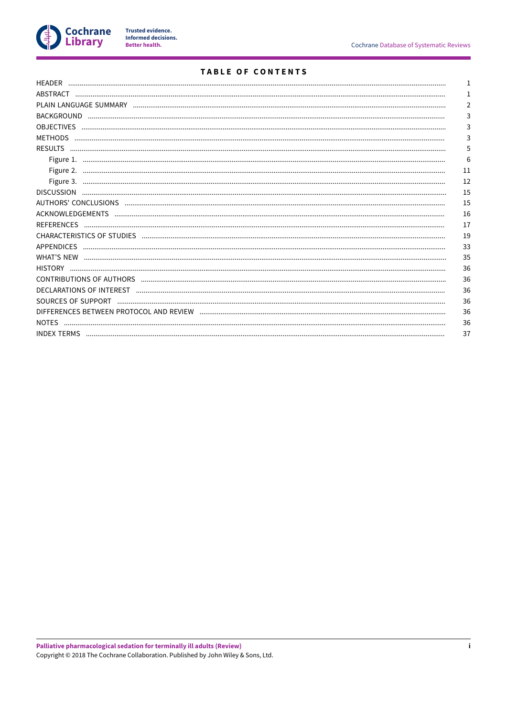

# TABLE OF CONTENTS

|                                                                                                                                                                                                                                | Т. |
|--------------------------------------------------------------------------------------------------------------------------------------------------------------------------------------------------------------------------------|----|
|                                                                                                                                                                                                                                |    |
|                                                                                                                                                                                                                                | 2  |
|                                                                                                                                                                                                                                | 3  |
|                                                                                                                                                                                                                                | 3  |
|                                                                                                                                                                                                                                | 3  |
|                                                                                                                                                                                                                                | 5  |
|                                                                                                                                                                                                                                | 6  |
|                                                                                                                                                                                                                                | 11 |
|                                                                                                                                                                                                                                | 12 |
|                                                                                                                                                                                                                                | 15 |
|                                                                                                                                                                                                                                | 15 |
|                                                                                                                                                                                                                                | 16 |
|                                                                                                                                                                                                                                | 17 |
|                                                                                                                                                                                                                                | 19 |
|                                                                                                                                                                                                                                | 33 |
|                                                                                                                                                                                                                                | 35 |
|                                                                                                                                                                                                                                | 36 |
|                                                                                                                                                                                                                                | 36 |
| DECLARATIONS OF INTEREST Examples and the contract of the contract of the contract of the contract of the contract of the contract of the contract of the contract of the contract of the contract of the contract of the cont | 36 |
|                                                                                                                                                                                                                                | 36 |
|                                                                                                                                                                                                                                | 36 |
| <b>NOTES</b>                                                                                                                                                                                                                   | 36 |
|                                                                                                                                                                                                                                | 37 |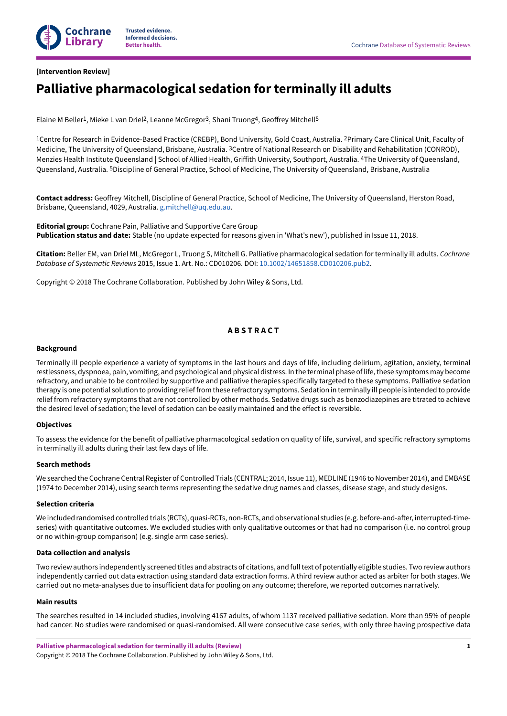

### <span id="page-2-0"></span>**[Intervention Review]**

# **Palliative pharmacological sedation for terminally ill adults**

Elaine M Beller<sup>1</sup>, Mieke L van Driel<sup>2</sup>, Leanne McGregor<sup>3</sup>, Shani Truong<sup>4</sup>, Geoffrey Mitchell<sup>5</sup>

1Centre for Research in Evidence-Based Practice (CREBP), Bond University, Gold Coast, Australia. 2Primary Care Clinical Unit, Faculty of Medicine, The University of Queensland, Brisbane, Australia. <sup>3</sup>Centre of National Research on Disability and Rehabilitation (CONROD), Menzies Health Institute Queensland | School of Allied Health, Griffith University, Southport, Australia. <sup>4</sup>The University of Queensland, Queensland, Australia. 5Discipline of General Practice, School of Medicine, The University of Queensland, Brisbane, Australia

Contact address: Geoffrey Mitchell, Discipline of General Practice, School of Medicine, The University of Queensland, Herston Road, Brisbane, Queensland, 4029, Australia. [g.mitchell@uq.edu.au.](mailto:g.mitchell@uq.edu.au)

**Editorial group:** Cochrane Pain, Palliative and Supportive Care Group **Publication status and date:** Stable (no update expected for reasons given in 'What's new'), published in Issue 11, 2018.

**Citation:** Beller EM, van Driel ML, McGregor L, Truong S, Mitchell G. Palliative pharmacological sedation for terminally ill adults. *Cochrane Database of Systematic Reviews* 2015, Issue 1. Art. No.: CD010206. DOI: [10.1002/14651858.CD010206.pub2](https://doi.org/10.1002%2F14651858.CD010206.pub2).

Copyright © 2018 The Cochrane Collaboration. Published by John Wiley & Sons, Ltd.

### **A B S T R A C T**

#### <span id="page-2-1"></span>**Background**

Terminally ill people experience a variety of symptoms in the last hours and days of life, including delirium, agitation, anxiety, terminal restlessness, dyspnoea, pain, vomiting, and psychological and physical distress. In the terminal phase of life, these symptoms may become refractory, and unable to be controlled by supportive and palliative therapies specifically targeted to these symptoms. Palliative sedation therapy is one potential solution to providing relief from these refractory symptoms. Sedation in terminally ill people is intended to provide relief from refractory symptoms that are not controlled by other methods. Sedative drugs such as benzodiazepines are titrated to achieve the desired level of sedation; the level of sedation can be easily maintained and the effect is reversible.

### **Objectives**

To assess the evidence for the benefit of palliative pharmacological sedation on quality of life, survival, and specific refractory symptoms in terminally ill adults during their last few days of life.

#### **Search methods**

We searched the Cochrane Central Register of Controlled Trials (CENTRAL; 2014, Issue 11), MEDLINE (1946 to November 2014), and EMBASE (1974 to December 2014), using search terms representing the sedative drug names and classes, disease stage, and study designs.

#### **Selection criteria**

We included randomised controlled trials (RCTs), quasi-RCTs, non-RCTs, and observational studies (e.g. before-and-after, interrupted-timeseries) with quantitative outcomes. We excluded studies with only qualitative outcomes or that had no comparison (i.e. no control group or no within-group comparison) (e.g. single arm case series).

#### **Data collection and analysis**

Two review authors independently screened titles and abstracts of citations, and fulltext of potentially eligible studies. Two review authors independently carried out data extraction using standard data extraction forms. A third review author acted as arbiter for both stages. We carried out no meta-analyses due to insufficient data for pooling on any outcome; therefore, we reported outcomes narratively.

#### **Main results**

The searches resulted in 14 included studies, involving 4167 adults, of whom 1137 received palliative sedation. More than 95% of people had cancer. No studies were randomised or quasi-randomised. All were consecutive case series, with only three having prospective data

**Palliative pharmacological sedation for terminally ill adults (Review)** Copyright © 2018 The Cochrane Collaboration. Published by John Wiley & Sons, Ltd.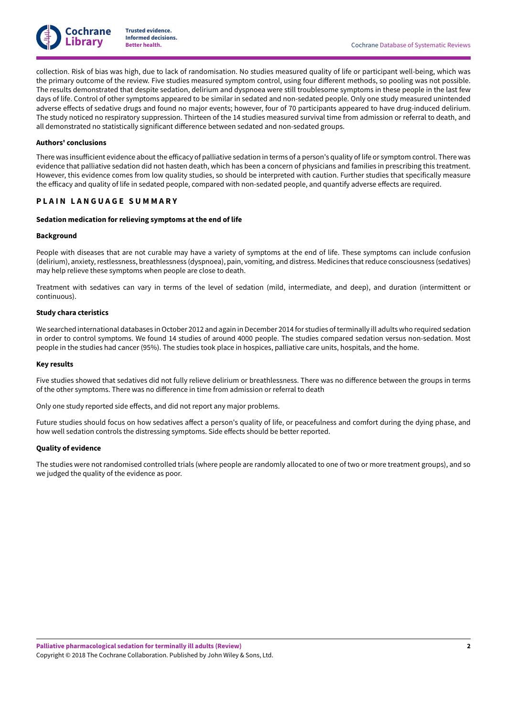

collection. Risk of bias was high, due to lack of randomisation. No studies measured quality of life or participant well-being, which was the primary outcome of the review. Five studies measured symptom control, using four different methods, so pooling was not possible. The results demonstrated that despite sedation, delirium and dyspnoea were still troublesome symptoms in these people in the last few days of life. Control of other symptoms appeared to be similar in sedated and non-sedated people. Only one study measured unintended adverse effects of sedative drugs and found no major events; however, four of 70 participants appeared to have drug-induced delirium. The study noticed no respiratory suppression. Thirteen of the 14 studies measured survival time from admission or referral to death, and all demonstrated no statistically significant difference between sedated and non-sedated groups.

#### **Authors' conclusions**

There was insufficient evidence about the efficacy of palliative sedation in terms of a person's quality of life or symptom control. There was evidence that palliative sedation did not hasten death, which has been a concern of physicians and families in prescribing this treatment. However, this evidence comes from low quality studies, so should be interpreted with caution. Further studies that specifically measure the efficacy and quality of life in sedated people, compared with non-sedated people, and quantify adverse effects are required.

### <span id="page-3-0"></span>**P L A I N L A N G U A G E S U M M A R Y**

#### **Sedation medication for relieving symptoms at the end of life**

#### **Background**

People with diseases that are not curable may have a variety of symptoms at the end of life. These symptoms can include confusion (delirium), anxiety, restlessness, breathlessness (dyspnoea), pain, vomiting, and distress. Medicines that reduce consciousness (sedatives) may help relieve these symptoms when people are close to death.

Treatment with sedatives can vary in terms of the level of sedation (mild, intermediate, and deep), and duration (intermittent or continuous).

#### **Study chara cteristics**

We searched international databases in October 2012 and again in December 2014 for studies of terminally ill adults who required sedation in order to control symptoms. We found 14 studies of around 4000 people. The studies compared sedation versus non-sedation. Most people in the studies had cancer (95%). The studies took place in hospices, palliative care units, hospitals, and the home.

#### **Key results**

Five studies showed that sedatives did not fully relieve delirium or breathlessness. There was no difference between the groups in terms of the other symptoms. There was no difference in time from admission or referral to death

Only one study reported side effects, and did not report any major problems.

Future studies should focus on how sedatives affect a person's quality of life, or peacefulness and comfort during the dying phase, and how well sedation controls the distressing symptoms. Side effects should be better reported.

#### **Quality of evidence**

The studies were not randomised controlled trials (where people are randomly allocated to one of two or more treatment groups), and so we judged the quality of the evidence as poor.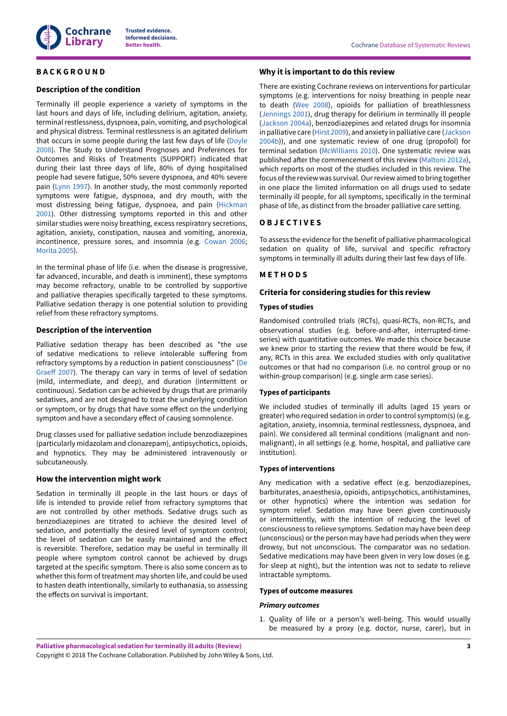

### <span id="page-4-0"></span>**B A C K G R O U N D**

### **Description of the condition**

Terminally ill people experience a variety of symptoms in the last hours and days of life, including delirium, agitation, anxiety, terminal restlessness, dyspnoea, pain, vomiting, and psychological and physical distress. Terminal restlessness is an agitated delirium that occurs in some people during the last few days of life [\(Doyle](#page-19-0) [2008](#page-19-0)). The Study to Understand Prognoses and Preferences for Outcomes and Risks of Treatments (SUPPORT) indicated that during their last three days of life, 80% of dying hospitalised people had severe fatigue, 50% severe dyspnoea, and 40% severe pain [\(Lynn](#page-19-1) 1997). In another study, the most commonly reported symptoms were fatigue, dyspnoea, and dry mouth, with the most distressing being fatigue, dyspnoea, and pain ([Hickman](#page-19-2) [2001](#page-19-2)). Other distressing symptoms reported in this and other similar studies were noisy breathing, excess respiratory secretions, agitation, anxiety, constipation, nausea and vomiting, anorexia, incontinence, pressure sores, and insomnia (e.g. [Cowan](#page-18-1) 2006; [Morita](#page-19-3) 2005).

In the terminal phase of life (i.e. when the disease is progressive, far advanced, incurable, and death is imminent), these symptoms may become refractory, unable to be controlled by supportive and palliative therapies specifically targeted to these symptoms. Palliative sedation therapy is one potential solution to providing relief from these refractory symptoms.

### **Description of the intervention**

Palliative sedation therapy has been described as "the use of sedative medications to relieve intolerable suffering from refractory symptoms by a reduction in patient consciousness" ([De](#page-19-4) Graeff 2007). The therapy can vary in terms of level of sedation (mild, intermediate, and deep), and duration (intermittent or continuous). Sedation can be achieved by drugs that are primarily sedatives, and are not designed to treat the underlying condition or symptom, or by drugs that have some effect on the underlying symptom and have a secondary effect of causing somnolence.

Drug classes used for palliative sedation include benzodiazepines (particularly midazolam and clonazepam), antipsychotics, opioids, and hypnotics. They may be administered intravenously or subcutaneously.

### **How the intervention might work**

Sedation in terminally ill people in the last hours or days of life is intended to provide relief from refractory symptoms that are not controlled by other methods. Sedative drugs such as benzodiazepines are titrated to achieve the desired level of sedation, and potentially the desired level of symptom control; the level of sedation can be easily maintained and the effect is reversible. Therefore, sedation may be useful in terminally ill people where symptom control cannot be achieved by drugs targeted at the specific symptom. There is also some concern as to whether this form of treatment may shorten life, and could be used to hasten death intentionally, similarly to euthanasia, so assessing the effects on survival is important.

### **Why it is important to do this review**

There are existing Cochrane reviews on interventions for particular symptoms (e.g. interventions for noisy breathing in people near to death ([Wee 2008\)](#page-20-1), opioids for palliation of breathlessness [\(Jennings 2001\)](#page-19-5), drug therapy for delirium in terminally ill people [\(Jackson 2004a](#page-19-6)), benzodiazepines and related drugs for insomnia in palliative care [\(Hirst](#page-19-7) 2009), and anxiety in palliative care ([Jackson](#page-19-8) [2004b\)](#page-19-8)), and one systematic review of one drug (propofol) for terminal sedation ([McWilliams 2010](#page-19-9)). One systematic review was published after the commencement of this review [\(Maltoni](#page-19-10) 2012a), which reports on most of the studies included in this review. The focus of the review was survival. Our review aimed to bring together in one place the limited information on all drugs used to sedate terminally ill people, for all symptoms, specifically in the terminal phase of life, as distinct from the broader palliative care setting.

### <span id="page-4-1"></span>**O B J E C T I V E S**

To assess the evidence forthe benefit of palliative pharmacological sedation on quality of life, survival and specific refractory symptoms in terminally ill adults during their last few days of life.

### <span id="page-4-2"></span>**M E T H O D S**

### **Criteria for considering studies for this review**

### **Types of studies**

Randomised controlled trials (RCTs), quasi-RCTs, non-RCTs, and observational studies (e.g. before-and-after, interrupted-timeseries) with quantitative outcomes. We made this choice because we knew prior to starting the review that there would be few, if any, RCTs in this area. We excluded studies with only qualitative outcomes or that had no comparison (i.e. no control group or no within-group comparison) (e.g. single arm case series).

### **Types of participants**

We included studies of terminally ill adults (aged 15 years or greater) who required sedation in orderto control symptom(s) (e.g. agitation, anxiety, insomnia, terminal restlessness, dyspnoea, and pain). We considered all terminal conditions (malignant and nonmalignant), in all settings (e.g. home, hospital, and palliative care institution).

#### **Types of interventions**

Any medication with a sedative effect (e.g. benzodiazepines, barbiturates, anaesthesia, opioids, antipsychotics, antihistamines, or other hypnotics) where the intention was sedation for symptom relief. Sedation may have been given continuously or intermittently, with the intention of reducing the level of consciousness to relieve symptoms. Sedation may have been deep (unconscious) or the person may have had periods when they were drowsy, but not unconscious. The comparator was no sedation. Sedative medications may have been given in very low doses (e.g. for sleep at night), but the intention was not to sedate to relieve intractable symptoms.

#### **Types of outcome measures**

#### *Primary outcomes*

1. Quality of life or a person's well-being. This would usually be measured by a proxy (e.g. doctor, nurse, carer), but in

**Palliative pharmacological sedation for terminally ill adults (Review)**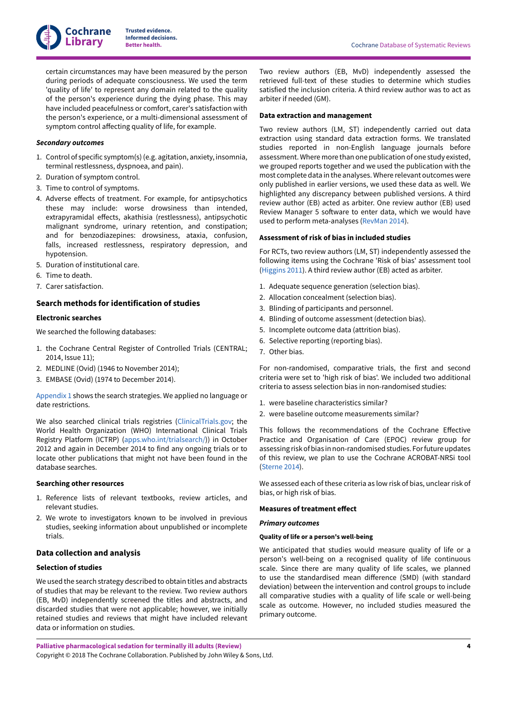

certain circumstances may have been measured by the person during periods of adequate consciousness. We used the term 'quality of life' to represent any domain related to the quality of the person's experience during the dying phase. This may have included peacefulness or comfort, carer's satisfaction with the person's experience, or a multi-dimensional assessment of symptom control affecting quality of life, for example.

### *Secondary outcomes*

- 1. Control of specific symptom(s)(e.g. agitation, anxiety, insomnia, terminal restlessness, dyspnoea, and pain).
- 2. Duration of symptom control.
- 3. Time to control of symptoms.
- 4. Adverse effects of treatment. For example, for antipsychotics these may include: worse drowsiness than intended, extrapyramidal effects, akathisia (restlessness), antipsychotic malignant syndrome, urinary retention, and constipation; and for benzodiazepines: drowsiness, ataxia, confusion, falls, increased restlessness, respiratory depression, and hypotension.
- 5. Duration of institutional care.
- 6. Time to death.
- 7. Carer satisfaction.

### **Search methods for identification of studies**

#### **Electronic searches**

We searched the following databases:

- 1. the Cochrane Central Register of Controlled Trials (CENTRAL; 2014, Issue 11);
- 2. MEDLINE (Ovid) (1946 to November 2014);
- 3. EMBASE (Ovid) (1974 to December 2014).

[Appendix 1](#page-34-1) shows the search strategies. We applied no language or date restrictions.

We also searched clinical trials registries ([ClinicalTrials.gov](http://ClinicalTrials.gov); the World Health Organization (WHO) International Clinical Trials Registry Platform (ICTRP) [\(apps.who.int/trialsearch/](http://apps.who.int/trialsearch/))) in October 2012 and again in December 2014 to find any ongoing trials or to locate other publications that might not have been found in the database searches.

#### **Searching other resources**

- 1. Reference lists of relevant textbooks, review articles, and relevant studies.
- 2. We wrote to investigators known to be involved in previous studies, seeking information about unpublished or incomplete trials.

#### **Data collection and analysis**

#### **Selection of studies**

We used the search strategy described to obtain titles and abstracts of studies that may be relevant to the review. Two review authors (EB, MvD) independently screened the titles and abstracts, and discarded studies that were not applicable; however, we initially retained studies and reviews that might have included relevant data or information on studies.

Two review authors (EB, MvD) independently assessed the retrieved full-text of these studies to determine which studies satisfied the inclusion criteria. A third review author was to act as arbiter if needed (GM).

#### **Data extraction and management**

Two review authors (LM, ST) independently carried out data extraction using standard data extraction forms. We translated studies reported in non-English language journals before assessment.Where more than one publication of one study existed, we grouped reports together and we used the publication with the most complete data in the analyses.Where relevant outcomes were only published in earlier versions, we used these data as well. We highlighted any discrepancy between published versions. A third review author (EB) acted as arbiter. One review author (EB) used Review Manager 5 software to enter data, which we would have used to perform meta-analyses ([RevMan](#page-19-11) 2014).

#### **Assessment of risk of bias in included studies**

For RCTs, two review authors (LM, ST) independently assessed the following items using the Cochrane 'Risk of bias' assessment tool [\(Higgins 2011](#page-19-12)). A third review author (EB) acted as arbiter.

- 1. Adequate sequence generation (selection bias).
- 2. Allocation concealment (selection bias).
- 3. Blinding of participants and personnel.
- 4. Blinding of outcome assessment (detection bias).
- 5. Incomplete outcome data (attrition bias).
- 6. Selective reporting (reporting bias).
- 7. Other bias.

For non-randomised, comparative trials, the first and second criteria were set to 'high risk of bias'. We included two additional criteria to assess selection bias in non-randomised studies:

- 1. were baseline characteristics similar?
- 2. were baseline outcome measurements similar?

This follows the recommendations of the Cochrane Effective Practice and Organisation of Care (EPOC) review group for assessing risk of bias in non-randomised studies. For future updates of this review, we plan to use the Cochrane ACROBAT-NRSi tool [\(Sterne](#page-20-2) 2014).

We assessed each of these criteria as low risk of bias, unclear risk of bias, or high risk of bias.

#### **Measures of treatment effect**

#### *Primary outcomes*

#### **Quality of life or a person's well-being**

We anticipated that studies would measure quality of life or a person's well-being on a recognised quality of life continuous scale. Since there are many quality of life scales, we planned to use the standardised mean difference (SMD) (with standard deviation) between the intervention and control groups to include all comparative studies with a quality of life scale or well-being scale as outcome. However, no included studies measured the primary outcome.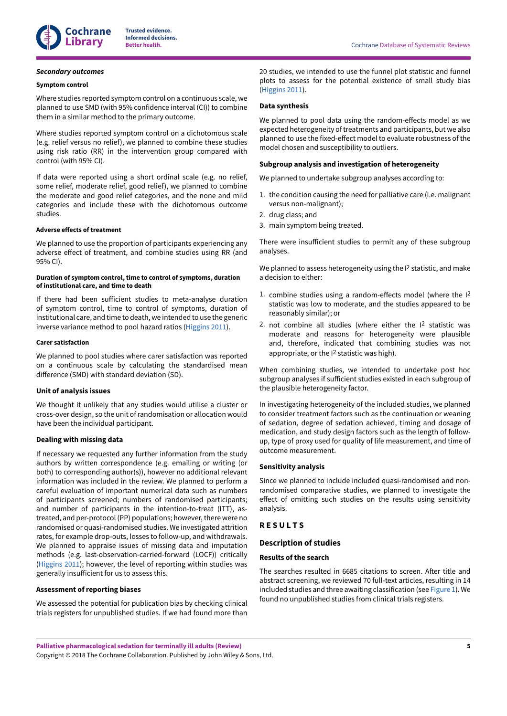### *Secondary outcomes*

#### **Symptom control**

Where studies reported symptom control on a continuous scale, we planned to use SMD (with 95% confidence interval (CI)) to combine them in a similar method to the primary outcome.

Where studies reported symptom control on a dichotomous scale (e.g. relief versus no relief), we planned to combine these studies using risk ratio (RR) in the intervention group compared with control (with 95% CI).

If data were reported using a short ordinal scale (e.g. no relief, some relief, moderate relief, good relief), we planned to combine the moderate and good relief categories, and the none and mild categories and include these with the dichotomous outcome studies.

#### **Adverse effects of treatment**

We planned to use the proportion of participants experiencing any adverse effect of treatment, and combine studies using RR (and 95% CI).

#### **Duration of symptom control, time to control of symptoms, duration of institutional care, and time to death**

If there had been sufficient studies to meta-analyse duration of symptom control, time to control of symptoms, duration of institutional care, and time to death, we intended to use the generic inverse variance method to pool hazard ratios [\(Higgins 2011\)](#page-19-12).

#### **Carer satisfaction**

We planned to pool studies where carer satisfaction was reported on a continuous scale by calculating the standardised mean difference (SMD) with standard deviation (SD).

#### **Unit of analysis issues**

We thought it unlikely that any studies would utilise a cluster or cross-over design, so the unit ofrandomisation or allocation would have been the individual participant.

#### **Dealing with missing data**

If necessary we requested any further information from the study authors by written correspondence (e.g. emailing or writing (or both) to corresponding author(s)), however no additional relevant information was included in the review. We planned to perform a careful evaluation of important numerical data such as numbers of participants screened; numbers of randomised participants; and number of participants in the intention-to-treat (ITT), astreated, and per-protocol (PP) populations; however, there were no randomised or quasi-randomised studies. We investigated attrition rates, for example drop-outs, losses to follow-up, and withdrawals. We planned to appraise issues of missing data and imputation methods (e.g. last-observation-carried-forward (LOCF)) critically [\(Higgins 2011\)](#page-19-12); however, the level of reporting within studies was generally insufficient for us to assess this.

#### **Assessment of reporting biases**

We assessed the potential for publication bias by checking clinical trials registers for unpublished studies. If we had found more than 20 studies, we intended to use the funnel plot statistic and funnel plots to assess for the potential existence of small study bias [\(Higgins 2011](#page-19-12)).

#### **Data synthesis**

We planned to pool data using the random-effects model as we expected heterogeneity of treatments and participants, but we also planned to use the fixed-effect model to evaluate robustness of the model chosen and susceptibility to outliers.

#### **Subgroup analysis and investigation of heterogeneity**

We planned to undertake subgroup analyses according to:

- 1. the condition causing the need for palliative care (i.e. malignant versus non-malignant);
- 2. drug class; and
- 3. main symptom being treated.

There were insufficient studies to permit any of these subgroup analyses.

We planned to assess heterogeneity using the I<sup>2</sup> statistic, and make a decision to either:

- 1. combine studies using a random-effects model (where the  $12$ statistic was low to moderate, and the studies appeared to be reasonably similar); or
- 2. not combine all studies (where either the I 2 statistic was moderate and reasons for heterogeneity were plausible and, therefore, indicated that combining studies was not appropriate, or the <sup>12</sup> statistic was high).

When combining studies, we intended to undertake post hoc subgroup analyses if sufficient studies existed in each subgroup of the plausible heterogeneity factor.

In investigating heterogeneity of the included studies, we planned to consider treatment factors such as the continuation or weaning of sedation, degree of sedation achieved, timing and dosage of medication, and study design factors such as the length of followup, type of proxy used for quality of life measurement, and time of outcome measurement.

#### **Sensitivity analysis**

Since we planned to include included quasi-randomised and nonrandomised comparative studies, we planned to investigate the effect of omitting such studies on the results using sensitivity analysis.

#### <span id="page-6-0"></span>**R E S U L T S**

### **Description of studies**

#### **Results of the search**

The searches resulted in 6685 citations to screen. After title and abstract screening, we reviewed 70 full-text articles, resulting in 14 included studies and three awaiting classification (see [Figure](#page-7-0) 1). We found no unpublished studies from clinical trials registers.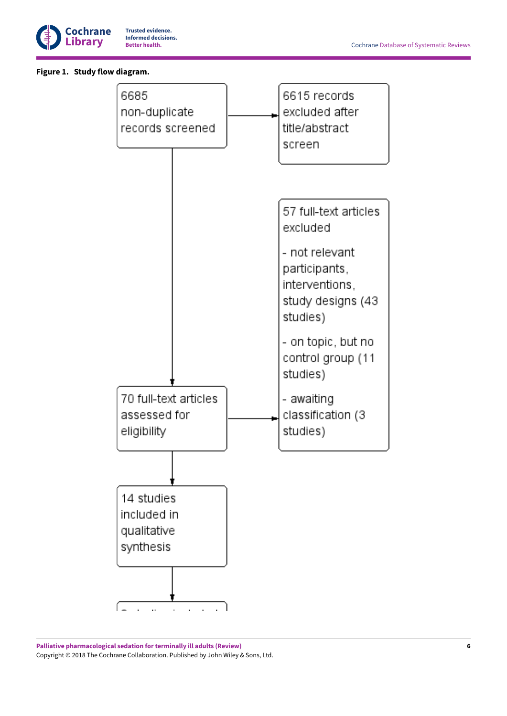

### <span id="page-7-0"></span>**Figure 1. Study flow diagram.**

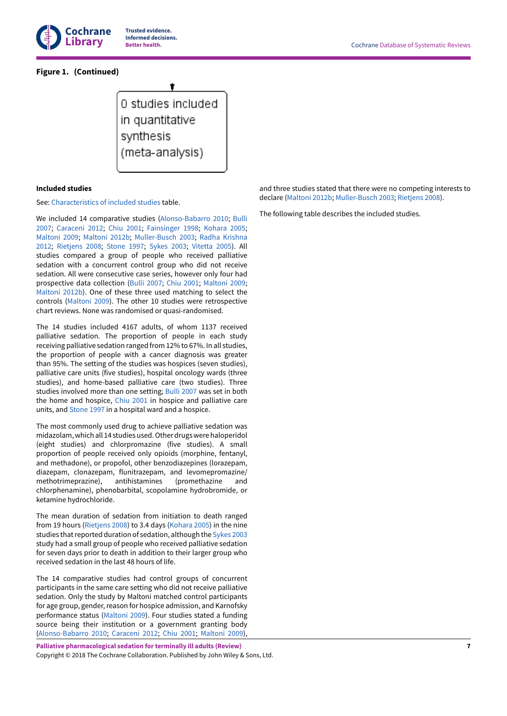

# **Figure 1. (Continued)**

0 studies included in quantitative synthesis (meta-analysis)

### **Included studies**

See: [Characteristics](#page-20-3) of included studies table.

We included 14 comparative studies [\(Alonso-Babarro](#page-18-2) 2010; [Bulli](#page-18-3) [2007](#page-18-3); [Caraceni](#page-18-4) 2012; [Chiu 2001](#page-18-5); [Fainsinger](#page-18-6) 1998; [Kohara](#page-18-7) 2005; [Maltoni](#page-18-8) 2009; [Maltoni](#page-18-9) 2012b; [Muller-Busch](#page-18-10) 2003; Radha [Krishna](#page-18-11) [2012](#page-18-11); [Rietjens](#page-18-12) 2008; [Stone](#page-18-13) 1997; [Sykes](#page-18-14) 2003; [Vitetta](#page-18-15) 2005). All studies compared a group of people who received palliative sedation with a concurrent control group who did not receive sedation. All were consecutive case series, however only four had prospective data collection [\(Bulli 2007](#page-18-3); [Chiu 2001;](#page-18-5) [Maltoni](#page-18-8) 2009; [Maltoni](#page-18-9) 2012b). One of these three used matching to select the controls [\(Maltoni](#page-18-8) 2009). The other 10 studies were retrospective chart reviews. None was randomised or quasi-randomised.

The 14 studies included 4167 adults, of whom 1137 received palliative sedation. The proportion of people in each study receiving palliative sedation ranged from 12% to 67%. In all studies, the proportion of people with a cancer diagnosis was greater than 95%. The setting of the studies was hospices (seven studies), palliative care units (five studies), hospital oncology wards (three studies), and home-based palliative care (two studies). Three studies involved more than one setting; [Bulli 2007](#page-18-3) was set in both the home and hospice, [Chiu 2001](#page-18-5) in hospice and palliative care units, and [Stone](#page-18-13) 1997 in a hospital ward and a hospice.

The most commonly used drug to achieve palliative sedation was midazolam,whichall 14 studiesused.Otherdrugswerehaloperidol (eight studies) and chlorpromazine (five studies). A small proportion of people received only opioids (morphine, fentanyl, and methadone), or propofol, other benzodiazepines (lorazepam, diazepam, clonazepam, flunitrazepam, and levomepromazine/ methotrimeprazine), antihistamines (promethazine and chlorphenamine), phenobarbital, scopolamine hydrobromide, or ketamine hydrochloride.

The mean duration of sedation from initiation to death ranged from 19 hours ([Rietjens](#page-18-12) 2008) to 3.4 days [\(Kohara](#page-18-7) 2005) in the nine studies that reported duration of sedation, although the [Sykes](#page-18-14) 2003 study had a small group of people who received palliative sedation for seven days prior to death in addition to their larger group who received sedation in the last 48 hours of life.

The 14 comparative studies had control groups of concurrent participants in the same care setting who did not receive palliative sedation. Only the study by Maltoni matched control participants for age group, gender, reason for hospice admission, and Karnofsky performance status ([Maltoni](#page-18-8) 2009). Four studies stated a funding source being their institution or a government granting body [\(Alonso-Babarro](#page-18-2) 2010; [Caraceni](#page-18-4) 2012; [Chiu 2001;](#page-18-5) [Maltoni](#page-18-8) 2009),

**Palliative pharmacological sedation for terminally ill adults (Review)** Copyright © 2018 The Cochrane Collaboration. Published by John Wiley & Sons, Ltd.

and three studies stated that there were no competing interests to declare [\(Maltoni](#page-18-9) 2012b; [Muller-Busch](#page-18-10) 2003; [Rietjens](#page-18-12) 2008).

The following table describes the included studies.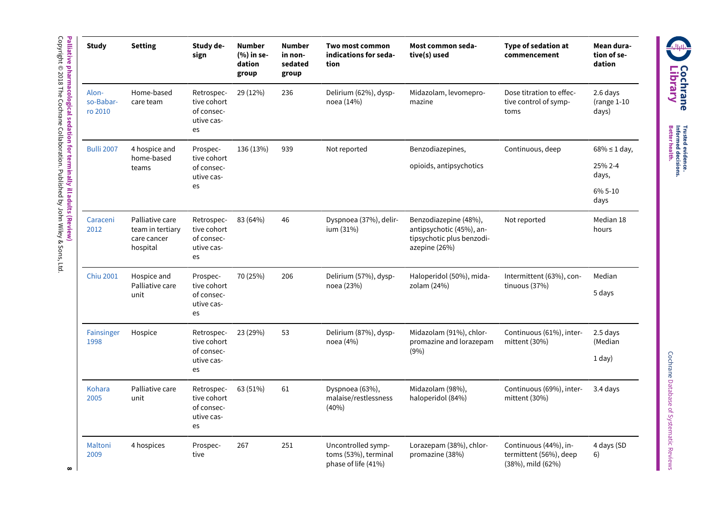| <b>Study</b>                  | <b>Setting</b>                                                 | Study de-<br>sign                                           | <b>Number</b><br>(%) in se-<br>dation<br>group | <b>Number</b><br>in non-<br>sedated<br>group | Two most common<br>indications for seda-<br>tion                  | Most common seda-<br>tive(s) used                                                               | Type of sedation at<br>commencement                                  | Mean dura-<br>tion of se-<br>dation |
|-------------------------------|----------------------------------------------------------------|-------------------------------------------------------------|------------------------------------------------|----------------------------------------------|-------------------------------------------------------------------|-------------------------------------------------------------------------------------------------|----------------------------------------------------------------------|-------------------------------------|
| Alon-<br>so-Babar-<br>ro 2010 | Home-based<br>care team                                        | Retrospec-<br>tive cohort<br>of consec-<br>utive cas-<br>es | 29 (12%)                                       | 236                                          | Delirium (62%), dysp-<br>noea (14%)                               | Midazolam, levomepro-<br>mazine                                                                 | Dose titration to effec-<br>tive control of symp-<br>toms            | 2.6 days<br>$(range 1-10$<br>days)  |
| <b>Bulli 2007</b>             | 4 hospice and                                                  | Prospec-                                                    | 136 (13%)                                      | 939                                          | Not reported                                                      | Benzodiazepines,                                                                                | Continuous, deep                                                     | $68\% \le 1$ day,                   |
|                               | home-based<br>teams                                            | tive cohort<br>of consec-<br>utive cas-                     |                                                |                                              |                                                                   | opioids, antipsychotics                                                                         |                                                                      | 25% 2-4<br>days,                    |
|                               |                                                                | es                                                          |                                                |                                              |                                                                   |                                                                                                 |                                                                      | 6% 5-10<br>days                     |
| Caraceni<br>2012              | Palliative care<br>team in tertiary<br>care cancer<br>hospital | Retrospec-<br>tive cohort<br>of consec-<br>utive cas-<br>es | 83 (64%)                                       | 46                                           | Dyspnoea (37%), delir-<br>ium (31%)                               | Benzodiazepine (48%),<br>antipsychotic (45%), an-<br>tipsychotic plus benzodi-<br>azepine (26%) | Not reported                                                         | Median 18<br>hours                  |
| <b>Chiu 2001</b>              | Hospice and<br>Palliative care<br>unit                         | Prospec-<br>tive cohort<br>of consec-<br>utive cas-<br>es   | 70 (25%)                                       | 206                                          | Delirium (57%), dysp-<br>noea (23%)                               | Haloperidol (50%), mida-<br>zolam (24%)                                                         | Intermittent (63%), con-<br>tinuous (37%)                            | Median<br>5 days                    |
| Fainsinger<br>1998            | Hospice                                                        | Retrospec-<br>tive cohort                                   | 23 (29%)<br>53<br>noea (4%)                    |                                              | Delirium (87%), dysp-                                             | Midazolam (91%), chlor-<br>promazine and lorazepam                                              | Continuous (61%), inter-<br>mittent (30%)                            | 2.5 days<br>(Median                 |
|                               |                                                                | of consec-<br>utive cas-<br>es                              |                                                |                                              | (9%)                                                              |                                                                                                 | $1$ day)                                                             |                                     |
| Kohara<br>2005                | Palliative care<br>unit                                        | Retrospec-<br>tive cohort<br>of consec-<br>utive cas-<br>es | 63 (51%)                                       | 61                                           | Dyspnoea (63%),<br>malaise/restlessness<br>(40%)                  | Midazolam (98%),<br>haloperidol (84%)                                                           | Continuous (69%), inter-<br>mittent (30%)                            | 3.4 days                            |
| Maltoni<br>2009               | 4 hospices                                                     | Prospec-<br>tive                                            | 267                                            | 251                                          | Uncontrolled symp-<br>toms (53%), terminal<br>phase of life (41%) | Lorazepam (38%), chlor-<br>promazine (38%)                                                      | Continuous (44%), in-<br>termittent (56%), deep<br>(38%), mild (62%) | 4 days (SD<br>6)                    |



**Trusted Better**

**Informed**

**decisions. health.**

**evidence.**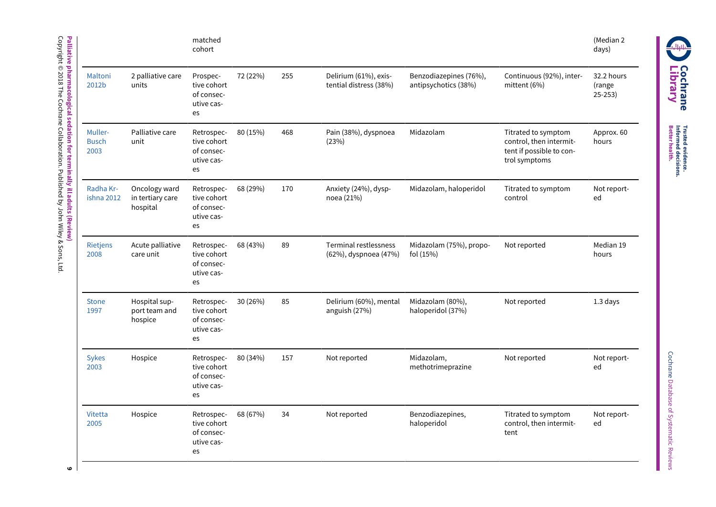|                                 |                                               | matched<br>cohort                                           |          |     |                                                 |                                                |                                                                                             | (Median 2<br>days)                 |
|---------------------------------|-----------------------------------------------|-------------------------------------------------------------|----------|-----|-------------------------------------------------|------------------------------------------------|---------------------------------------------------------------------------------------------|------------------------------------|
| Maltoni<br>2012b                | 2 palliative care<br>units                    | Prospec-<br>tive cohort<br>of consec-<br>utive cas-<br>es   | 72 (22%) | 255 | Delirium (61%), exis-<br>tential distress (38%) | Benzodiazepines (76%),<br>antipsychotics (38%) | Continuous (92%), inter-<br>mittent (6%)                                                    | 32.2 hours<br>(range<br>$25 - 253$ |
| Muller-<br><b>Busch</b><br>2003 | Palliative care<br>unit                       | Retrospec-<br>tive cohort<br>of consec-<br>utive cas-<br>es | 80 (15%) | 468 | Pain (38%), dyspnoea<br>(23%)                   | Midazolam                                      | Titrated to symptom<br>control, then intermit-<br>tent if possible to con-<br>trol symptoms | Approx. 60<br>hours                |
| Radha Kr-<br>ishna 2012         | Oncology ward<br>in tertiary care<br>hospital | Retrospec-<br>tive cohort<br>of consec-<br>utive cas-<br>es | 68 (29%) | 170 | Anxiety (24%), dysp-<br>noea (21%)              | Midazolam, haloperidol                         | Titrated to symptom<br>control                                                              | Not report-<br>ed                  |
| Rietjens<br>2008                | Acute palliative<br>care unit                 | Retrospec-<br>tive cohort<br>of consec-<br>utive cas-<br>es | 68 (43%) | 89  | Terminal restlessness<br>(62%), dyspnoea (47%)  | Midazolam (75%), propo-<br>fol (15%)           | Not reported                                                                                | Median 19<br>hours                 |
| <b>Stone</b><br>1997            | Hospital sup-<br>port team and<br>hospice     | Retrospec-<br>tive cohort<br>of consec-<br>utive cas-<br>es | 30 (26%) | 85  | Delirium (60%), mental<br>anguish (27%)         | Midazolam (80%),<br>haloperidol (37%)          | Not reported                                                                                | 1.3 days                           |
| <b>Sykes</b><br>2003            | Hospice                                       | Retrospec-<br>tive cohort<br>of consec-<br>utive cas-<br>es | 80 (34%) | 157 | Not reported                                    | Midazolam,<br>methotrimeprazine                | Not reported                                                                                | Not report-<br>ed                  |
| Vitetta<br>2005                 | Hospice                                       | Retrospec-<br>tive cohort<br>of consec-<br>utive cas-<br>es | 68 (67%) | 34  | Not reported                                    | Benzodiazepines,<br>haloperidol                | Titrated to symptom<br>control, then intermit-<br>tent                                      | Not report-<br>ed                  |

**Palliative pharmacological sedation for terminally ill adults (Review)** Copyright © 2018 The Cochrane Collaboration. Published হ John Wiley & Sons,

ltd.<br>E

Cochrane Database q Systematic Reviews

**Cochrane EN Cochrane** 

> **Trusted Better evidence. Informed decisions. health.**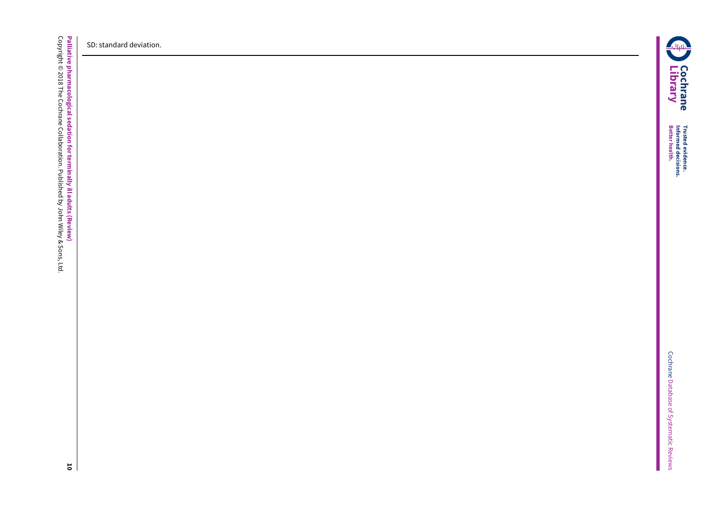**Palliative pharmacological sedation for terminally ill adults (Review)** Copyright © 2018 The Cochrane Collaboration. Published হ John Wiley & Sons, ltd.<br>E

SD: standard deviation.

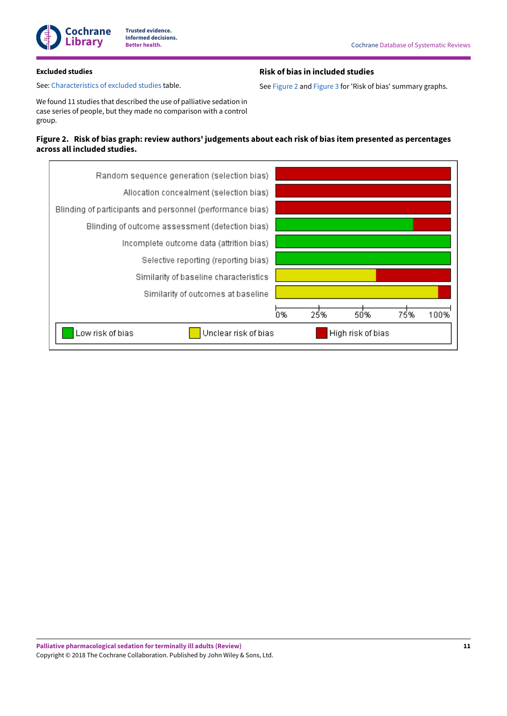

### **Excluded studies**

See: [Characteristics](#page-33-0) of excluded studies table.

### **Risk of bias in included studies**

See [Figure](#page-12-0) 2 and [Figure](#page-13-0) 3 for 'Risk of bias' summary graphs.

We found 11 studies that described the use of palliative sedation in case series of people, but they made no comparison with a control group.

# <span id="page-12-0"></span>Figure 2. Risk of bias graph: review authors' judgements about each risk of bias item presented as percentages **across all included studies.**

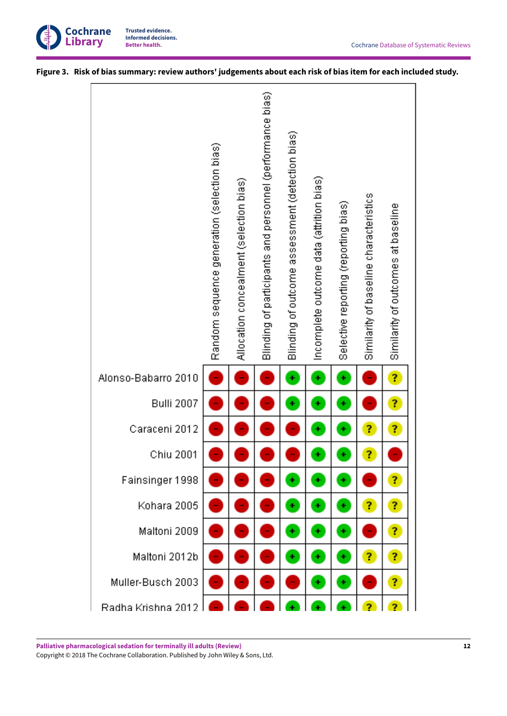

<span id="page-13-0"></span>

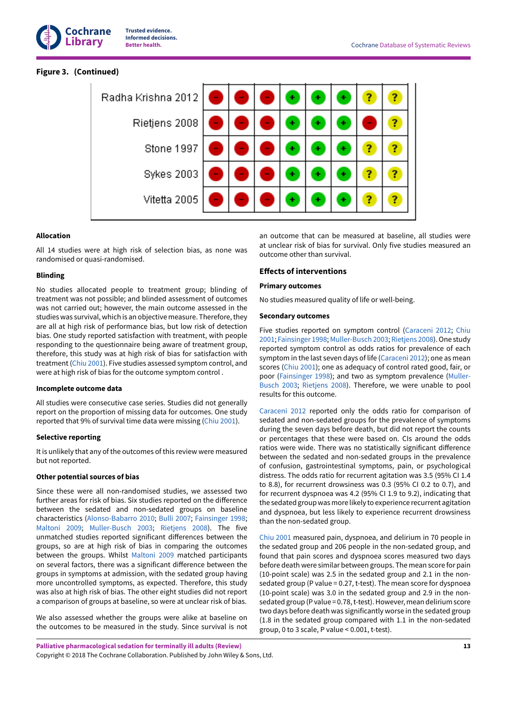

### **Figure 3. (Continued)**

| Radha Krishna 2012 |  |  |  |  |
|--------------------|--|--|--|--|
| Rietjens 2008      |  |  |  |  |
| Stone 1997         |  |  |  |  |
| Sykes 2003         |  |  |  |  |
| Vitetta 2005       |  |  |  |  |

### **Allocation**

All 14 studies were at high risk of selection bias, as none was randomised or quasi-randomised.

#### **Blinding**

No studies allocated people to treatment group; blinding of treatment was not possible; and blinded assessment of outcomes was not carried out; however, the main outcome assessed in the studies was survival, which is an objective measure. Therefore, they are all at high risk of performance bias, but low risk of detection bias. One study reported satisfaction with treatment, with people responding to the questionnaire being aware of treatment group, therefore, this study was at high risk of bias for satisfaction with treatment ([Chiu 2001](#page-18-5)). Five studies assessed symptom control, and were at high risk of bias for the outcome symptom control .

#### **Incomplete outcome data**

All studies were consecutive case series. Studies did not generally report on the proportion of missing data for outcomes. One study reported that 9% of survival time data were missing ([Chiu 2001\)](#page-18-5).

### **Selective reporting**

It is unlikely that any of the outcomes of this review were measured but not reported.

### **Other potential sources of bias**

Since these were all non-randomised studies, we assessed two further areas for risk of bias. Six studies reported on the difference between the sedated and non-sedated groups on baseline characteristics [\(Alonso-Babarro](#page-18-2) 2010; [Bulli 2007](#page-18-3); [Fainsinger](#page-18-6) 1998; [Maltoni](#page-18-8) 2009; [Muller-Busch](#page-18-10) 2003; [Rietjens](#page-18-12) 2008). The five unmatched studies reported significant differences between the groups, so are at high risk of bias in comparing the outcomes between the groups. Whilst [Maltoni](#page-18-8) 2009 matched participants on several factors, there was a significant difference between the groups in symptoms at admission, with the sedated group having more uncontrolled symptoms, as expected. Therefore, this study was also at high risk of bias. The other eight studies did not report a comparison of groups at baseline, so were at unclear risk of bias.

We also assessed whether the groups were alike at baseline on the outcomes to be measured in the study. Since survival is not an outcome that can be measured at baseline, all studies were at unclear risk of bias for survival. Only five studies measured an outcome other than survival.

### **Effects of interventions**

#### **Primary outcomes**

No studies measured quality of life or well-being.

#### **Secondary outcomes**

Five studies reported on symptom control ([Caraceni](#page-18-4) 2012; [Chiu](#page-18-5) [2001;](#page-18-5) [Fainsinger](#page-18-6) 1998; [Muller-Busch](#page-18-10) 2003; [Rietjens](#page-18-12) 2008). One study reported symptom control as odds ratios for prevalence of each symptom in the last seven days of life [\(Caraceni](#page-18-4) 2012); one as mean scores [\(Chiu 2001\)](#page-18-5); one as adequacy of control rated good, fair, or poor [\(Fainsinger](#page-18-6) 1998); and two as symptom prevalence ([Muller-](#page-18-10)[Busch 2003](#page-18-10); [Rietjens](#page-18-12) 2008). Therefore, we were unable to pool results for this outcome.

[Caraceni](#page-18-4) 2012 reported only the odds ratio for comparison of sedated and non-sedated groups for the prevalence of symptoms during the seven days before death, but did not report the counts or percentages that these were based on. CIs around the odds ratios were wide. There was no statistically significant difference between the sedated and non-sedated groups in the prevalence of confusion, gastrointestinal symptoms, pain, or psychological distress. The odds ratio for recurrent agitation was 3.5 (95% CI 1.4 to 8.8), for recurrent drowsiness was 0.3 (95% CI 0.2 to 0.7), and for recurrent dyspnoea was 4.2 (95% CI 1.9 to 9.2), indicating that the sedated group was more likely to experience recurrent agitation and dyspnoea, but less likely to experience recurrent drowsiness than the non-sedated group.

[Chiu 2001](#page-18-5) measured pain, dyspnoea, and delirium in 70 people in the sedated group and 206 people in the non-sedated group, and found that pain scores and dyspnoea scores measured two days before death were similar between groups. The mean score for pain (10-point scale) was 2.5 in the sedated group and 2.1 in the nonsedated group (P value = 0.27, t-test). The mean score for dyspnoea (10-point scale) was 3.0 in the sedated group and 2.9 in the nonsedated group (P value = 0.78, t-test). However, mean delirium score two days before death was significantly worse in the sedated group (1.8 in the sedated group compared with 1.1 in the non-sedated group, 0 to 3 scale, P value < 0.001, t-test).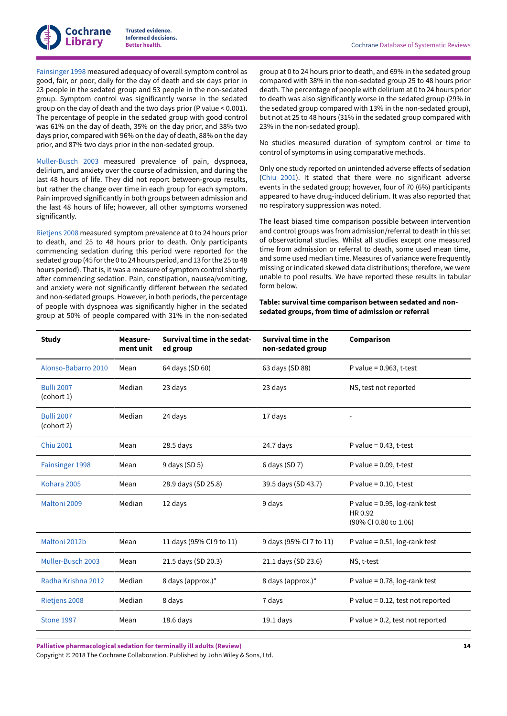[Fainsinger](#page-18-6) 1998 measured adequacy of overall symptom control as good, fair, or poor, daily for the day of death and six days prior in 23 people in the sedated group and 53 people in the non-sedated group. Symptom control was significantly worse in the sedated group on the day of death and the two days prior (P value < 0.001). The percentage of people in the sedated group with good control was 61% on the day of death, 35% on the day prior, and 38% two days prior, compared with 96% on the day of death, 88% on the day prior, and 87% two days prior in the non-sedated group.

[Muller-Busch](#page-18-10) 2003 measured prevalence of pain, dyspnoea, delirium, and anxiety over the course of admission, and during the last 48 hours of life. They did not report between-group results, but rather the change over time in each group for each symptom. Pain improved significantly in both groups between admission and the last 48 hours of life; however, all other symptoms worsened significantly.

[Rietjens](#page-18-12) 2008 measured symptom prevalence at 0 to 24 hours prior to death, and 25 to 48 hours prior to death. Only participants commencing sedation during this period were reported for the sedated group (45 for the 0 to 24 hours period, and 13 for the 25 to 48 hours period). That is, it was a measure of symptom control shortly after commencing sedation. Pain, constipation, nausea/vomiting, and anxiety were not significantly different between the sedated and non-sedated groups. However, in both periods, the percentage of people with dyspnoea was significantly higher in the sedated group at 50% of people compared with 31% in the non-sedated

group at 0 to 24 hours prior to death, and 69% in the sedated group compared with 38% in the non-sedated group 25 to 48 hours prior death. The percentage of people with delirium at 0 to 24 hours prior to death was also significantly worse in the sedated group (29% in the sedated group compared with 13% in the non-sedated group), but not at 25 to 48 hours (31% in the sedated group compared with 23% in the non-sedated group).

No studies measured duration of symptom control or time to control of symptoms in using comparative methods.

Only one study reported on unintended adverse effects of sedation [\(Chiu 2001](#page-18-5)). It stated that there were no significant adverse events in the sedated group; however, four of 70 (6%) participants appeared to have drug-induced delirium. It was also reported that no respiratory suppression was noted.

The least biased time comparison possible between intervention and control groups was from admission/referral to death in this set of observational studies. Whilst all studies except one measured time from admission or referral to death, some used mean time, and some used median time. Measures of variance were frequently missing or indicated skewed data distributions; therefore, we were unable to pool results. We have reported these results in tabular form below.

**Table: survival time comparison between sedated and nonsedated groups, from time of admission or referral**

| <b>Study</b>                    | Measure-<br>ment unit | Survival time in the sedat-<br>ed group | Survival time in the<br>non-sedated group | Comparison                                                           |
|---------------------------------|-----------------------|-----------------------------------------|-------------------------------------------|----------------------------------------------------------------------|
| Alonso-Babarro 2010             | Mean                  | 64 days (SD 60)                         | 63 days (SD 88)                           | P value = $0.963$ , t-test                                           |
| <b>Bulli 2007</b><br>(cohort 1) | Median                | 23 days                                 | 23 days                                   | NS, test not reported                                                |
| <b>Bulli 2007</b><br>(cohort 2) | Median                | 24 days                                 | 17 days                                   |                                                                      |
| <b>Chiu 2001</b>                | Mean                  | $28.5$ days                             | $24.7$ days                               | P value = $0.43$ , t-test                                            |
| Fainsinger 1998                 | Mean                  | 9 days (SD 5)                           | 6 days (SD 7)                             | P value = $0.09$ , t-test                                            |
| Kohara 2005                     | Mean                  | 28.9 days (SD 25.8)                     | 39.5 days (SD 43.7)                       | P value = $0.10$ , t-test                                            |
| Maltoni 2009                    | Median                | 12 days                                 | 9 days                                    | P value = $0.95$ , log-rank test<br>HR 0.92<br>(90% CI 0.80 to 1.06) |
| Maltoni 2012b                   | Mean                  | 11 days (95% CI 9 to 11)                | 9 days (95% CI 7 to 11)                   | P value = $0.51$ , log-rank test                                     |
| Muller-Busch 2003               | Mean                  | 21.5 days (SD 20.3)                     | 21.1 days (SD 23.6)                       | NS, t-test                                                           |
| Radha Krishna 2012              | Median                | 8 days (approx.)*                       | 8 days (approx.)*                         | P value = $0.78$ , log-rank test                                     |
| <b>Rietjens 2008</b>            | Median                | 8 days                                  | 7 days                                    | P value = $0.12$ , test not reported                                 |
| Stone 1997                      | Mean                  | 18.6 days                               | $19.1$ days                               | P value > 0.2, test not reported                                     |

**Palliative pharmacological sedation for terminally ill adults (Review)**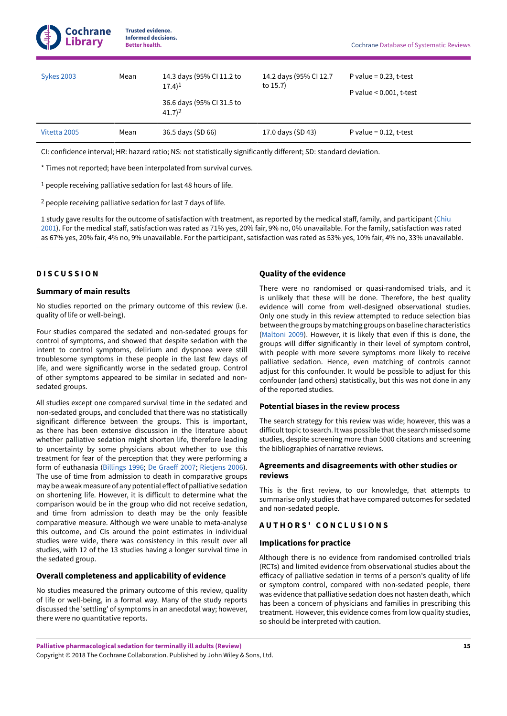| UŦ.<br><b>Library</b> | <b>Better health.</b> | Informed decisions.                                                                        |                                       | <b>Cochrane Database of Systematic Reviews</b>          |
|-----------------------|-----------------------|--------------------------------------------------------------------------------------------|---------------------------------------|---------------------------------------------------------|
| <b>Sykes 2003</b>     | Mean                  | 14.3 days (95% CI 11.2 to<br>$17.4$ <sup>1</sup><br>36.6 days (95% CI 31.5 to<br>$41.7)^2$ | 14.2 days (95% CI 12.7<br>to $15.7$ ) | P value = $0.23$ , t-test<br>P value $< 0.001$ , t-test |
| Vitetta 2005          | Mean                  | 36.5 days (SD 66)                                                                          | 17.0 days (SD 43)                     | P value = $0.12$ , t-test                               |

CI: confidence interval; HR: hazard ratio; NS: not statistically significantly different; SD: standard deviation.

\* Times not reported; have been interpolated from survival curves.

**Trusted evidence.**

1 people receiving palliative sedation for last 48 hours of life.

2 people receiving palliative sedation for last 7 days of life.

1 study gave results for the outcome of satisfaction with treatment, as reported by the medical staff, family, and participant ([Chiu](#page-18-5) [2001](#page-18-5)). For the medical staff, satisfaction was rated as 71% yes, 20% fair, 9% no, 0% unavailable. For the family, satisfaction was rated as 67% yes, 20% fair, 4% no, 9% unavailable. For the participant, satisfaction was rated as 53% yes, 10% fair, 4% no, 33% unavailable.

### <span id="page-16-0"></span>**D I S C U S S I O N**

#### **Summary of main results**

**Cochrane** 

No studies reported on the primary outcome of this review (i.e. quality of life or well-being).

Four studies compared the sedated and non-sedated groups for control of symptoms, and showed that despite sedation with the intent to control symptoms, delirium and dyspnoea were still troublesome symptoms in these people in the last few days of life, and were significantly worse in the sedated group. Control of other symptoms appeared to be similar in sedated and nonsedated groups.

All studies except one compared survival time in the sedated and non-sedated groups, and concluded that there was no statistically significant difference between the groups. This is important, as there has been extensive discussion in the literature about whether palliative sedation might shorten life, therefore leading to uncertainty by some physicians about whether to use this treatment for fear of the perception that they were performing a form of euthanasia ([Billings 1996;](#page-19-13) De Graeff 2007; [Rietjens](#page-19-14) 2006). The use of time from admission to death in comparative groups may be a weak measure of any potential effect of palliative sedation on shortening life. However, it is difficult to determine what the comparison would be in the group who did not receive sedation, and time from admission to death may be the only feasible comparative measure. Although we were unable to meta-analyse this outcome, and CIs around the point estimates in individual studies were wide, there was consistency in this result over all studies, with 12 of the 13 studies having a longer survival time in the sedated group.

### **Overall completeness and applicability of evidence**

No studies measured the primary outcome of this review, quality of life or well-being, in a formal way. Many of the study reports discussed the 'settling' of symptoms in an anecdotal way; however, there were no quantitative reports.

#### **Quality of the evidence**

There were no randomised or quasi-randomised trials, and it is unlikely that these will be done. Therefore, the best quality evidence will come from well-designed observational studies. Only one study in this review attempted to reduce selection bias between the groups by matching groups on baseline characteristics [\(Maltoni](#page-18-8) 2009). However, it is likely that even if this is done, the groups will differ significantly in their level of symptom control, with people with more severe symptoms more likely to receive palliative sedation. Hence, even matching of controls cannot adjust for this confounder. It would be possible to adjust for this confounder (and others) statistically, but this was not done in any of the reported studies.

### **Potential biases in the review process**

The search strategy for this review was wide; however, this was a difficult topic to search. It was possible that the search missed some studies, despite screening more than 5000 citations and screening the bibliographies of narrative reviews.

### **Agreements and disagreements with other studies or reviews**

This is the first review, to our knowledge, that attempts to summarise only studies that have compared outcomes for sedated and non-sedated people.

### <span id="page-16-1"></span>**A U T H O R S ' C O N C L U S I O N S**

#### **Implications for practice**

Although there is no evidence from randomised controlled trials (RCTs) and limited evidence from observational studies about the efficacy of palliative sedation in terms of a person's quality of life or symptom control, compared with non-sedated people, there was evidence that palliative sedation does not hasten death, which has been a concern of physicians and families in prescribing this treatment. However, this evidence comes from low quality studies, so should be interpreted with caution.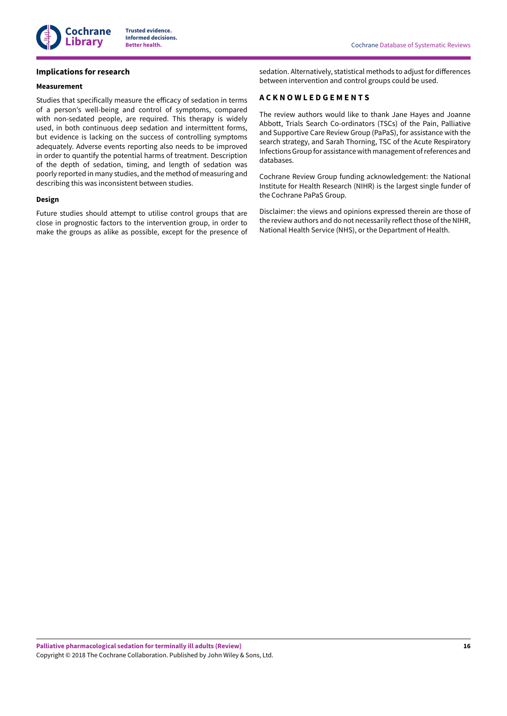

### **Implications for research**

#### **Measurement**

Studies that specifically measure the efficacy of sedation in terms of a person's well-being and control of symptoms, compared with non-sedated people, are required. This therapy is widely used, in both continuous deep sedation and intermittent forms, but evidence is lacking on the success of controlling symptoms adequately. Adverse events reporting also needs to be improved in order to quantify the potential harms of treatment. Description of the depth of sedation, timing, and length of sedation was poorly reported in many studies, and the method of measuring and describing this was inconsistent between studies.

#### **Design**

Future studies should attempt to utilise control groups that are close in prognostic factors to the intervention group, in order to make the groups as alike as possible, except for the presence of

sedation. Alternatively, statistical methods to adjust for differences between intervention and control groups could be used.

### <span id="page-17-0"></span>**A C K N O W L E D G E M E N T S**

The review authors would like to thank Jane Hayes and Joanne Abbott, Trials Search Co-ordinators (TSCs) of the Pain, Palliative and Supportive Care Review Group (PaPaS), for assistance with the search strategy, and Sarah Thorning, TSC of the Acute Respiratory InfectionsGroup for assistance with management ofreferences and databases.

Cochrane Review Group funding acknowledgement: the National Institute for Health Research (NIHR) is the largest single funder of the Cochrane PaPaS Group.

Disclaimer: the views and opinions expressed therein are those of the review authors and do not necessarily reflect those of the NIHR, National Health Service (NHS), or the Department of Health.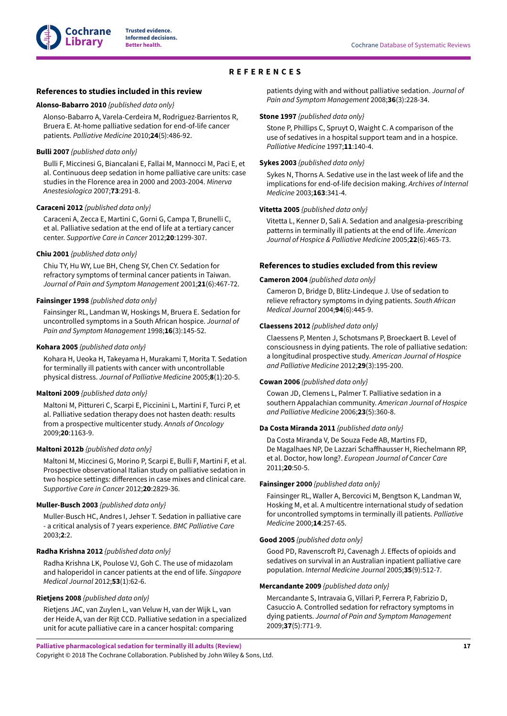### <span id="page-18-29"></span><span id="page-18-28"></span><span id="page-18-27"></span>**REFERENCES**

### <span id="page-18-20"></span><span id="page-18-19"></span><span id="page-18-18"></span><span id="page-18-17"></span><span id="page-18-16"></span><span id="page-18-0"></span>**References to studies included in this review**

#### <span id="page-18-2"></span>**Alonso-Babarro 2010** *{published data only}*

Alonso-Babarro A, Varela-Cerdeira M, Rodriguez-Barrientos R, Bruera E. At-home palliative sedation for end-of-life cancer patients. *Palliative Medicine* 2010;**24**(5):486-92.

#### <span id="page-18-21"></span><span id="page-18-3"></span>**Bulli 2007** *{published data only}*

<span id="page-18-22"></span>Bulli F, Miccinesi G, Biancalani E, Fallai M, Mannocci M, Paci E, et al. Continuous deep sedation in home palliative care units: case studies in the Florence area in 2000 and 2003-2004. *Minerva Anestesiologica* 2007;**73**:291-8.

#### <span id="page-18-4"></span>**Caraceni 2012** *{published data only}*

Caraceni A, Zecca E, Martini C, Gorni G, Campa T, Brunelli C, et al. Palliative sedation at the end of life at a tertiary cancer center. *Supportive Care in Cancer* 2012;**20**:1299-307.

#### <span id="page-18-23"></span><span id="page-18-5"></span>**Chiu 2001** *{published data only}*

Chiu TY, Hu WY, Lue BH, Cheng SY, Chen CY. Sedation for refractory symptoms of terminal cancer patients in Taiwan. *Journal of Pain and Symptom Management* 2001;**21**(6):467-72.

#### <span id="page-18-24"></span><span id="page-18-6"></span>**Fainsinger 1998** *{published data only}*

Fainsinger RL, Landman W, Hoskings M, Bruera E. Sedation for uncontrolled symptoms in a South African hospice. *Journal of Pain and Symptom Management* 1998;**16**(3):145-52.

#### <span id="page-18-25"></span><span id="page-18-7"></span>**Kohara 2005** *{published data only}*

Kohara H, Ueoka H, Takeyama H, Murakami T, Morita T. Sedation for terminally ill patients with cancer with uncontrollable physical distress. *Journal of Palliative Medicine* 2005;**8**(1):20-5.

#### <span id="page-18-26"></span><span id="page-18-8"></span>**Maltoni 2009** *{published data only}*

Maltoni M, Pittureri C, Scarpi E, Piccinini L, Martini F, Turci P, et al. Palliative sedation therapy does not hasten death: results from a prospective multicenter study. *Annals of Oncology* 2009;**20**:1163-9.

#### <span id="page-18-9"></span>**Maltoni 2012b** *{published data only}*

Maltoni M, Miccinesi G, Morino P, Scarpi E, Bulli F, Martini F, et al. Prospective observational Italian study on palliative sedation in two hospice settings: differences in case mixes and clinical care. *Supportive Care in Cancer* 2012;**20**:2829-36.

#### <span id="page-18-10"></span>**Muller-Busch 2003** *{published data only}*

Muller-Busch HC, Andres I, Jehser T. Sedation in palliative care - a critical analysis of 7 years experience. *BMC Palliative Care* 2003;**2**:2.

#### <span id="page-18-11"></span>**Radha Krishna 2012** *{published data only}*

Radha Krishna LK, Poulose VJ, Goh C. The use of midazolam and haloperidol in cancer patients at the end of life. *Singapore Medical Journal* 2012;**53**(1):62-6.

#### <span id="page-18-12"></span>**Rietjens 2008** *{published data only}*

Rietjens JAC, van Zuylen L, van Veluw H, van der Wijk L, van der Heide A, van der Rijt CCD. Palliative sedation in a specialized unit for acute palliative care in a cancer hospital: comparing

patients dying with and without palliative sedation. *Journal of Pain and Symptom Management* 2008;**36**(3):228-34.

#### <span id="page-18-13"></span>**Stone 1997** *{published data only}*

Stone P, Phillips C, Spruyt O, Waight C. A comparison of the use of sedatives in a hospital support team and in a hospice. *Palliative Medicine* 1997;**11**:140-4.

#### <span id="page-18-14"></span>**Sykes 2003** *{published data only}*

Sykes N, Thorns A. Sedative use in the last week of life and the implications for end-of-life decision making. *Archives of Internal Medicine* 2003;**163**:341-4.

### <span id="page-18-15"></span>**Vitetta 2005** *{published data only}*

Vitetta L, Kenner D, Sali A. Sedation and analgesia-prescribing patterns in terminally ill patients at the end of life. *American Journal of Hospice & Palliative Medicine* 2005;**22**(6):465-73.

### **References to studies excluded from this review**

#### <span id="page-18-30"></span>**Cameron 2004** *{published data only}*

Cameron D, Bridge D, Blitz-Lindeque J. Use of sedation to relieve refractory symptoms in dying patients. *South African Medical Journal* 2004;**94**(6):445-9.

#### <span id="page-18-31"></span>**Claessens 2012** *{published data only}*

Claessens P, Menten J, Schotsmans P, Broeckaert B. Level of consciousness in dying patients. The role of palliative sedation: a longitudinal prospective study. *American Journal of Hospice and Palliative Medicine* 2012;**29**(3):195-200.

#### <span id="page-18-1"></span>**Cowan 2006** *{published data only}*

Cowan JD, Clemens L, Palmer T. Palliative sedation in a southern Appalachian community. *American Journal of Hospice and Palliative Medicine* 2006;**23**(5):360-8.

#### <span id="page-18-32"></span>**Da Costa Miranda 2011** *{published data only}*

Da Costa Miranda V, De Souza Fede AB, Martins FD, De Magalhaes NP, De Lazzari Schaffhausser H, Riechelmann RP, et al. Doctor, how long?. *European Journal of Cancer Care* 2011;**20**:50-5.

#### <span id="page-18-33"></span>**Fainsinger 2000** *{published data only}*

Fainsinger RL, Waller A, Bercovici M, Bengtson K, Landman W, Hosking M, et al. A multicentre international study of sedation for uncontrolled symptoms in terminally ill patients. *Palliative Medicine* 2000;**14**:257-65.

#### <span id="page-18-34"></span>**Good 2005** *{published data only}*

Good PD, Ravenscroft PJ, Cavenagh J. Effects of opioids and sedatives on survival in an Australian inpatient palliative care population. *Internal Medicine Journal* 2005;**35**(9):512-7.

#### <span id="page-18-35"></span>**Mercandante 2009** *{published data only}*

Mercandante S, Intravaia G, Villari P, Ferrera P, Fabrizio D, Casuccio A. Controlled sedation for refractory symptoms in dying patients. *Journal of Pain and Symptom Management* 2009;**37**(5):771-9.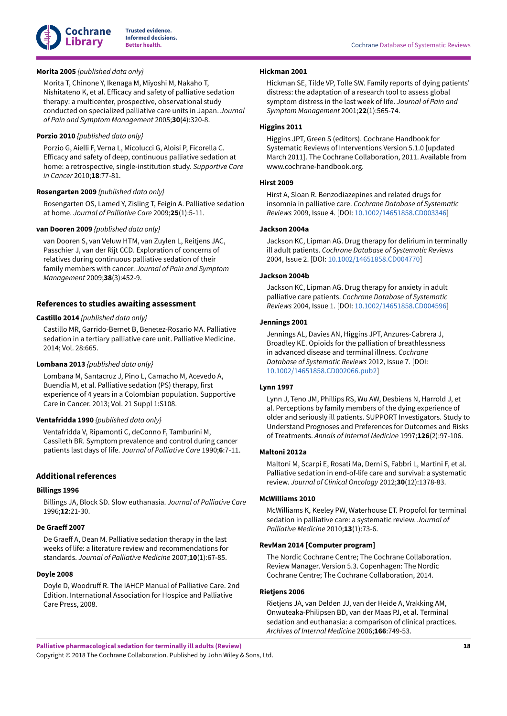

### <span id="page-19-3"></span>**Morita 2005** *{published data only}*

Morita T, Chinone Y, Ikenaga M, Miyoshi M, Nakaho T, Nishitateno K, et al. Efficacy and safety of palliative sedation therapy: a multicenter, prospective, observational study conducted on specialized palliative care units in Japan. *Journal of Pain and Symptom Management* 2005;**30**(4):320-8.

#### <span id="page-19-15"></span>**Porzio 2010** *{published data only}*

Porzio G, Aielli F, Verna L, Micolucci G, Aloisi P, Ficorella C. Efficacy and safety of deep, continuous palliative sedation at home: a retrospective, single-institution study. *Supportive Care in Cancer* 2010;**18**:77-81.

#### <span id="page-19-16"></span>**Rosengarten 2009** *{published data only}*

Rosengarten OS, Lamed Y, Zisling T, Feigin A. Palliative sedation at home. *Journal of Palliative Care* 2009;**25**(1):5-11.

### <span id="page-19-17"></span>**van Dooren 2009** *{published data only}*

van Dooren S, van Veluw HTM, van Zuylen L, Reitjens JAC, Passchier J, van der Rijt CCD. Exploration of concerns of relatives during continuous palliative sedation of their family members with cancer. *Journal of Pain and Symptom Management* 2009;**38**(3):452-9.

### **References to studies awaiting assessment**

#### **Castillo 2014** *{published data only}*

Castillo MR, Garrido-Bernet B, Benetez-Rosario MA. Palliative sedation in a tertiary palliative care unit. Palliative Medicine. 2014; Vol. 28:665.

#### **Lombana 2013** *{published data only}*

Lombana M, Santacruz J, Pino L, Camacho M, Acevedo A, Buendia M, et al. Palliative sedation (PS) therapy, first experience of 4 years in a Colombian population. Supportive Care in Cancer. 2013; Vol. 21 Suppl 1:S108.

#### **Ventafridda 1990** *{published data only}*

Ventafridda V, Ripamonti C, deConno F, Tamburini M, Cassileth BR. Symptom prevalence and control during cancer patients last days of life. *Journal of Palliative Care* 1990;**6**:7-11.

#### **Additional references**

#### <span id="page-19-13"></span>**Billings 1996**

Billings JA, Block SD. Slow euthanasia. *Journal of Palliative Care* 1996;**12**:21-30.

#### <span id="page-19-4"></span>**De Grae= 2007**

De Graeff A, Dean M. Palliative sedation therapy in the last weeks of life: a literature review and recommendations for standards. *Journal of Palliative Medicine* 2007;**10**(1):67-85.

#### <span id="page-19-0"></span>**Doyle 2008**

Doyle D, Woodruff R. The IAHCP Manual of Palliative Care. 2nd Edition. International Association for Hospice and Palliative Care Press, 2008.

#### <span id="page-19-2"></span>**Hickman 2001**

Hickman SE, Tilde VP, Tolle SW. Family reports of dying patients' distress: the adaptation of a research tool to assess global symptom distress in the last week of life. *Journal of Pain and Symptom Management* 2001;**22**(1):565-74.

### <span id="page-19-12"></span>**Higgins 2011**

Higgins JPT, Green S (editors). Cochrane Handbook for Systematic Reviews of Interventions Version 5.1.0 [updated March 2011]. The Cochrane Collaboration, 2011. Available from www.cochrane-handbook.org.

#### <span id="page-19-7"></span>**Hirst 2009**

Hirst A, Sloan R. Benzodiazepines and related drugs for insomnia in palliative care. *Cochrane Database of Systematic Reviews* 2009, Issue 4. [DOI: [10.1002/14651858.CD003346](https://doi.org/10.1002%2F14651858.CD003346)]

#### <span id="page-19-6"></span>**Jackson 2004a**

Jackson KC, Lipman AG. Drug therapy for delirium in terminally ill adult patients. *Cochrane Database of Systematic Reviews* 2004, Issue 2. [DOI: [10.1002/14651858.CD004770](https://doi.org/10.1002%2F14651858.CD004770)]

#### <span id="page-19-8"></span>**Jackson 2004b**

Jackson KC, Lipman AG. Drug therapy for anxiety in adult palliative care patients. *Cochrane Database of Systematic Reviews* 2004, Issue 1. [DOI: [10.1002/14651858.CD004596](https://doi.org/10.1002%2F14651858.CD004596)]

#### <span id="page-19-5"></span>**Jennings 2001**

Jennings AL, Davies AN, Higgins JPT, Anzures-Cabrera J, Broadley KE. Opioids for the palliation of breathlessness in advanced disease and terminal illness. *Cochrane Database of Systematic Reviews* 2012, Issue 7. [DOI: [10.1002/14651858.CD002066.pub2\]](https://doi.org/10.1002%2F14651858.CD002066.pub2)

### <span id="page-19-1"></span>**Lynn 1997**

Lynn J, Teno JM, Phillips RS, Wu AW, Desbiens N, Harrold J, et al. Perceptions by family members of the dying experience of older and seriously ill patients. SUPPORT Investigators. Study to Understand Prognoses and Preferences for Outcomes and Risks of Treatments. *Annals of Internal Medicine* 1997;**126**(2):97-106.

#### <span id="page-19-10"></span>**Maltoni 2012a**

Maltoni M, Scarpi E, Rosati Ma, Derni S, Fabbri L, Martini F, et al. Palliative sedation in end-of-life care and survival: a systematic review. *Journal of Clinical Oncology* 2012;**30**(12):1378-83.

#### <span id="page-19-9"></span>**McWilliams 2010**

McWilliams K, Keeley PW, Waterhouse ET. Propofol for terminal sedation in palliative care: a systematic review. *Journal of Palliative Medicine* 2010;**13**(1):73-6.

#### <span id="page-19-11"></span>**RevMan 2014 [Computer program]**

The Nordic Cochrane Centre; The Cochrane Collaboration. Review Manager. Version 5.3. Copenhagen: The Nordic Cochrane Centre; The Cochrane Collaboration, 2014.

#### <span id="page-19-14"></span>**Rietjens 2006**

Rietjens JA, van Delden JJ, van der Heide A, Vrakking AM, Onwuteaka-Philipsen BD, van der Maas PJ, et al. Terminal sedation and euthanasia: a comparison of clinical practices. *Archives of Internal Medicine* 2006;**166**:749-53.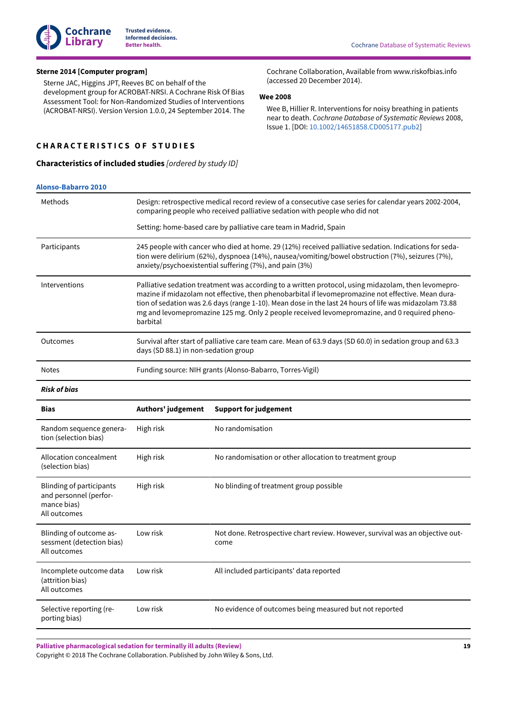

### <span id="page-20-2"></span>**Sterne 2014 [Computer program]**

Sterne JAC, Higgins JPT, Reeves BC on behalf of the development group for ACROBAT-NRSI. A Cochrane Risk Of Bias Assessment Tool: for Non-Randomized Studies of Interventions (ACROBAT-NRSI). Version Version 1.0.0, 24 September 2014. The

### <span id="page-20-0"></span>**C H A R A C T E R I S T I C S O F S T U D I E S**

### <span id="page-20-3"></span>**Characteristics of included studies** *[ordered by study ID]*

Cochrane Collaboration, Available from www.riskofbias.info (accessed 20 December 2014).

### <span id="page-20-1"></span>**Wee 2008**

Wee B, Hillier R. Interventions for noisy breathing in patients near to death. *Cochrane Database of Systematic Reviews* 2008, Issue 1. [DOI: [10.1002/14651858.CD005177.pub2\]](https://doi.org/10.1002%2F14651858.CD005177.pub2)

| <b>Alonso-Babarro 2010</b>                                                               |                                                           |                                                                                                                                                                                                                                                                                                                                                                                                                     |  |  |  |  |
|------------------------------------------------------------------------------------------|-----------------------------------------------------------|---------------------------------------------------------------------------------------------------------------------------------------------------------------------------------------------------------------------------------------------------------------------------------------------------------------------------------------------------------------------------------------------------------------------|--|--|--|--|
| Methods                                                                                  |                                                           | Design: retrospective medical record review of a consecutive case series for calendar years 2002-2004,<br>comparing people who received palliative sedation with people who did not                                                                                                                                                                                                                                 |  |  |  |  |
|                                                                                          |                                                           | Setting: home-based care by palliative care team in Madrid, Spain                                                                                                                                                                                                                                                                                                                                                   |  |  |  |  |
| Participants                                                                             |                                                           | 245 people with cancer who died at home. 29 (12%) received palliative sedation. Indications for seda-<br>tion were delirium (62%), dyspnoea (14%), nausea/vomiting/bowel obstruction (7%), seizures (7%),<br>anxiety/psychoexistential suffering (7%), and pain (3%)                                                                                                                                                |  |  |  |  |
| Interventions                                                                            | barbital                                                  | Palliative sedation treatment was according to a written protocol, using midazolam, then levomepro-<br>mazine if midazolam not effective, then phenobarbital if levomepromazine not effective. Mean dura-<br>tion of sedation was 2.6 days (range 1-10). Mean dose in the last 24 hours of life was midazolam 73.88<br>mg and levomepromazine 125 mg. Only 2 people received levomepromazine, and 0 required pheno- |  |  |  |  |
| Outcomes                                                                                 |                                                           | Survival after start of palliative care team care. Mean of 63.9 days (SD 60.0) in sedation group and 63.3<br>days (SD 88.1) in non-sedation group                                                                                                                                                                                                                                                                   |  |  |  |  |
| <b>Notes</b>                                                                             | Funding source: NIH grants (Alonso-Babarro, Torres-Vigil) |                                                                                                                                                                                                                                                                                                                                                                                                                     |  |  |  |  |
| <b>Risk of bias</b>                                                                      |                                                           |                                                                                                                                                                                                                                                                                                                                                                                                                     |  |  |  |  |
| <b>Bias</b>                                                                              | Authors' judgement                                        | <b>Support for judgement</b>                                                                                                                                                                                                                                                                                                                                                                                        |  |  |  |  |
| Random sequence genera-<br>tion (selection bias)                                         | High risk                                                 | No randomisation                                                                                                                                                                                                                                                                                                                                                                                                    |  |  |  |  |
| Allocation concealment<br>(selection bias)                                               | High risk                                                 | No randomisation or other allocation to treatment group                                                                                                                                                                                                                                                                                                                                                             |  |  |  |  |
| <b>Blinding of participants</b><br>and personnel (perfor-<br>mance bias)<br>All outcomes | High risk                                                 | No blinding of treatment group possible                                                                                                                                                                                                                                                                                                                                                                             |  |  |  |  |
| Blinding of outcome as-<br>sessment (detection bias)<br>All outcomes                     | Low risk                                                  | Not done. Retrospective chart review. However, survival was an objective out-<br>come                                                                                                                                                                                                                                                                                                                               |  |  |  |  |
| Incomplete outcome data<br>(attrition bias)<br>All outcomes                              | Low risk                                                  | All included participants' data reported                                                                                                                                                                                                                                                                                                                                                                            |  |  |  |  |
| Selective reporting (re-<br>porting bias)                                                | Low risk                                                  | No evidence of outcomes being measured but not reported                                                                                                                                                                                                                                                                                                                                                             |  |  |  |  |
|                                                                                          |                                                           |                                                                                                                                                                                                                                                                                                                                                                                                                     |  |  |  |  |

**Palliative pharmacological sedation for terminally ill adults (Review)**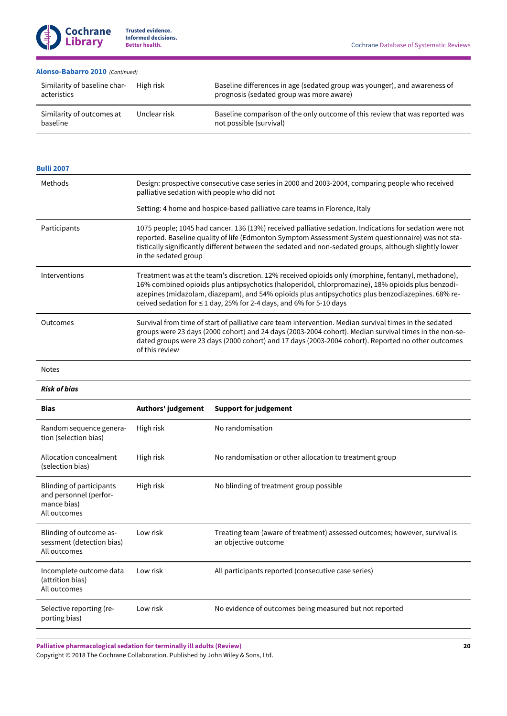### **[Alonso-Babarro](#page-18-2) 2010**  *(Continued)*

| Similarity of baseline char-<br>acteristics | High risk    | Baseline differences in age (sedated group was younger), and awareness of<br>prognosis (sedated group was more aware) |
|---------------------------------------------|--------------|-----------------------------------------------------------------------------------------------------------------------|
| Similarity of outcomes at<br>baseline       | Unclear risk | Baseline comparison of the only outcome of this review that was reported was<br>not possible (survival)               |

# Methods Design: prospective consecutive case series in 2000 and 2003-2004, comparing people who received palliative sedation with people who did not Setting: 4 home and hospice-based palliative care teams in Florence, Italy Participants 1075 people; 1045 had cancer. 136 (13%) received palliative sedation. Indications for sedation were not reported. Baseline quality of life (Edmonton Symptom Assessment System questionnaire) was not statistically significantly different between the sedated and non-sedated groups, although slightly lower in the sedated group Interventions Treatment was at the team's discretion. 12% received opioids only (morphine, fentanyl, methadone), 16% combined opioids plus antipsychotics (haloperidol, chlorpromazine), 18% opioids plus benzodiazepines (midazolam, diazepam), and 54% opioids plus antipsychotics plus benzodiazepines. 68% received sedation for  $\leq 1$  day, 25% for 2-4 days, and 6% for 5-10 days Outcomes Survival from time of start of palliative care team intervention. Median survival times in the sedated groups were 23 days (2000 cohort) and 24 days (2003-2004 cohort). Median survival times in the non-sedated groups were 23 days (2000 cohort) and 17 days (2003-2004 cohort). Reported no other outcomes of this review Notes *Risk of bias* **Bias Authors' judgement Support for judgement** Random sequence generation (selection bias) High risk No randomisation Allocation concealment (selection bias) High risk No randomisation or other allocation to treatment group Blinding of participants and personnel (performance bias) All outcomes High risk No blinding of treatment group possible Blinding of outcome assessment (detection bias) All outcomes Low risk Treating team (aware of treatment) assessed outcomes; however, survival is an objective outcome Incomplete outcome data (attrition bias) All outcomes Low risk and all participants reported (consecutive case series) Selective reporting (reporting bias) Low risk No evidence of outcomes being measured but not reported **[Bulli 2007](#page-18-3)**

**Palliative pharmacological sedation for terminally ill adults (Review)**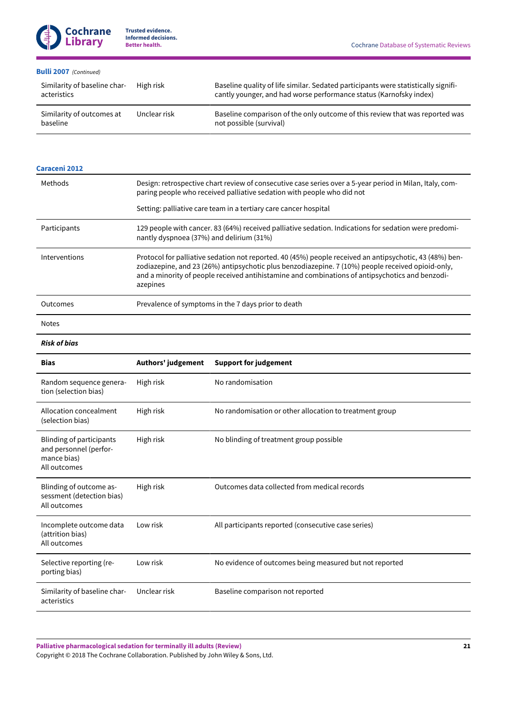

### **[Bulli 2007](#page-18-3)**  *(Continued)*

| Similarity of baseline char-<br>acteristics | High risk    | Baseline quality of life similar. Sedated participants were statistically signifi-<br>cantly younger, and had worse performance status (Karnofsky index) |
|---------------------------------------------|--------------|----------------------------------------------------------------------------------------------------------------------------------------------------------|
| Similarity of outcomes at<br>baseline       | Unclear risk | Baseline comparison of the only outcome of this review that was reported was<br>not possible (survival)                                                  |

| Caraceni 2012 |                                                                                                                                                                                                                                                                                                                             |
|---------------|-----------------------------------------------------------------------------------------------------------------------------------------------------------------------------------------------------------------------------------------------------------------------------------------------------------------------------|
| Methods       | Design: retrospective chart review of consecutive case series over a 5-year period in Milan, Italy, com-<br>paring people who received palliative sedation with people who did not                                                                                                                                          |
|               | Setting: palliative care team in a tertiary care cancer hospital                                                                                                                                                                                                                                                            |
| Participants  | 129 people with cancer. 83 (64%) received palliative sedation. Indications for sedation were predomi-<br>nantly dyspnoea (37%) and delirium (31%)                                                                                                                                                                           |
| Interventions | Protocol for palliative sedation not reported. 40 (45%) people received an antipsychotic, 43 (48%) ben-<br>zodiazepine, and 23 (26%) antipsychotic plus benzodiazepine. 7 (10%) people received opioid-only,<br>and a minority of people received antihistamine and combinations of antipsychotics and benzodi-<br>azepines |
| Outcomes      | Prevalence of symptoms in the 7 days prior to death                                                                                                                                                                                                                                                                         |
|               |                                                                                                                                                                                                                                                                                                                             |

#### Notes

### *Risk of bias*

| <b>Bias</b>                                                                              | Authors' judgement | <b>Support for judgement</b>                            |
|------------------------------------------------------------------------------------------|--------------------|---------------------------------------------------------|
| Random sequence genera-<br>tion (selection bias)                                         | High risk          | No randomisation                                        |
| Allocation concealment<br>(selection bias)                                               | High risk          | No randomisation or other allocation to treatment group |
| <b>Blinding of participants</b><br>and personnel (perfor-<br>mance bias)<br>All outcomes | High risk          | No blinding of treatment group possible                 |
| Blinding of outcome as-<br>sessment (detection bias)<br>All outcomes                     | High risk          | Outcomes data collected from medical records            |
| Incomplete outcome data<br>(attrition bias)<br>All outcomes                              | Low risk           | All participants reported (consecutive case series)     |
| Selective reporting (re-<br>porting bias)                                                | Low risk           | No evidence of outcomes being measured but not reported |
| Similarity of baseline char-<br>acteristics                                              | Unclear risk       | Baseline comparison not reported                        |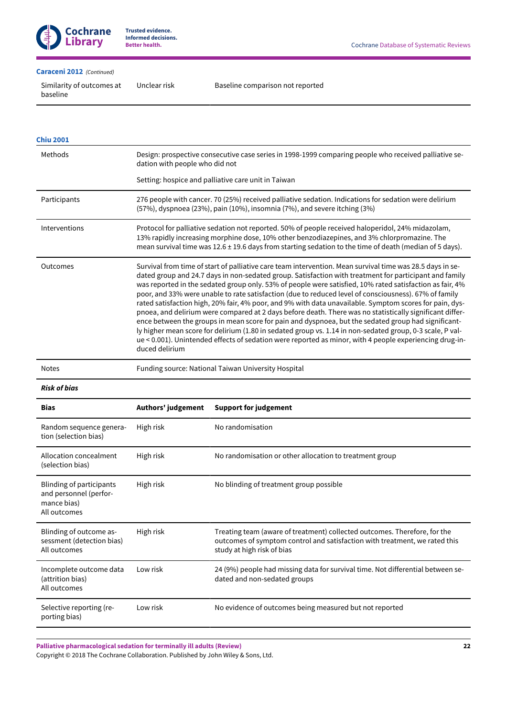

### **[Caraceni](#page-18-4) 2012**  *(Continued)*

Similarity of outcomes at baseline

Unclear risk Baseline comparison not reported

| <b>Chiu 2001</b>                                                                         |                                                                                                                                                                                                                                                                                                                                                                                                                                                                                                                                                                                                                                                                                                                                                                                                                                                                                                                                                                                                                  |                                                                                                                                                                                                                                                                                                             |  |  |  |  |
|------------------------------------------------------------------------------------------|------------------------------------------------------------------------------------------------------------------------------------------------------------------------------------------------------------------------------------------------------------------------------------------------------------------------------------------------------------------------------------------------------------------------------------------------------------------------------------------------------------------------------------------------------------------------------------------------------------------------------------------------------------------------------------------------------------------------------------------------------------------------------------------------------------------------------------------------------------------------------------------------------------------------------------------------------------------------------------------------------------------|-------------------------------------------------------------------------------------------------------------------------------------------------------------------------------------------------------------------------------------------------------------------------------------------------------------|--|--|--|--|
| Methods                                                                                  | dation with people who did not                                                                                                                                                                                                                                                                                                                                                                                                                                                                                                                                                                                                                                                                                                                                                                                                                                                                                                                                                                                   | Design: prospective consecutive case series in 1998-1999 comparing people who received palliative se-                                                                                                                                                                                                       |  |  |  |  |
|                                                                                          |                                                                                                                                                                                                                                                                                                                                                                                                                                                                                                                                                                                                                                                                                                                                                                                                                                                                                                                                                                                                                  | Setting: hospice and palliative care unit in Taiwan                                                                                                                                                                                                                                                         |  |  |  |  |
| Participants                                                                             |                                                                                                                                                                                                                                                                                                                                                                                                                                                                                                                                                                                                                                                                                                                                                                                                                                                                                                                                                                                                                  | 276 people with cancer. 70 (25%) received palliative sedation. Indications for sedation were delirium<br>(57%), dyspnoea (23%), pain (10%), insomnia (7%), and severe itching (3%)                                                                                                                          |  |  |  |  |
| Interventions                                                                            |                                                                                                                                                                                                                                                                                                                                                                                                                                                                                                                                                                                                                                                                                                                                                                                                                                                                                                                                                                                                                  | Protocol for palliative sedation not reported. 50% of people received haloperidol, 24% midazolam,<br>13% rapidly increasing morphine dose, 10% other benzodiazepines, and 3% chlorpromazine. The<br>mean survival time was 12.6 ± 19.6 days from starting sedation to the time of death (median of 5 days). |  |  |  |  |
| Outcomes                                                                                 | Survival from time of start of palliative care team intervention. Mean survival time was 28.5 days in se-<br>dated group and 24.7 days in non-sedated group. Satisfaction with treatment for participant and family<br>was reported in the sedated group only. 53% of people were satisfied, 10% rated satisfaction as fair, 4%<br>poor, and 33% were unable to rate satisfaction (due to reduced level of consciousness). 67% of family<br>rated satisfaction high, 20% fair, 4% poor, and 9% with data unavailable. Symptom scores for pain, dys-<br>pnoea, and delirium were compared at 2 days before death. There was no statistically significant differ-<br>ence between the groups in mean score for pain and dyspnoea, but the sedated group had significant-<br>ly higher mean score for delirium (1.80 in sedated group vs. 1.14 in non-sedated group, 0-3 scale, P val-<br>ue < 0.001). Unintended effects of sedation were reported as minor, with 4 people experiencing drug-in-<br>duced delirium |                                                                                                                                                                                                                                                                                                             |  |  |  |  |
| Notes                                                                                    | Funding source: National Taiwan University Hospital                                                                                                                                                                                                                                                                                                                                                                                                                                                                                                                                                                                                                                                                                                                                                                                                                                                                                                                                                              |                                                                                                                                                                                                                                                                                                             |  |  |  |  |
| <b>Risk of bias</b>                                                                      |                                                                                                                                                                                                                                                                                                                                                                                                                                                                                                                                                                                                                                                                                                                                                                                                                                                                                                                                                                                                                  |                                                                                                                                                                                                                                                                                                             |  |  |  |  |
| Bias                                                                                     | Authors' judgement                                                                                                                                                                                                                                                                                                                                                                                                                                                                                                                                                                                                                                                                                                                                                                                                                                                                                                                                                                                               | <b>Support for judgement</b>                                                                                                                                                                                                                                                                                |  |  |  |  |
| Random sequence genera-<br>tion (selection bias)                                         | High risk                                                                                                                                                                                                                                                                                                                                                                                                                                                                                                                                                                                                                                                                                                                                                                                                                                                                                                                                                                                                        | No randomisation                                                                                                                                                                                                                                                                                            |  |  |  |  |
| Allocation concealment<br>(selection bias)                                               | High risk                                                                                                                                                                                                                                                                                                                                                                                                                                                                                                                                                                                                                                                                                                                                                                                                                                                                                                                                                                                                        | No randomisation or other allocation to treatment group                                                                                                                                                                                                                                                     |  |  |  |  |
| <b>Blinding of participants</b><br>and personnel (perfor-<br>mance bias)<br>All outcomes | High risk                                                                                                                                                                                                                                                                                                                                                                                                                                                                                                                                                                                                                                                                                                                                                                                                                                                                                                                                                                                                        | No blinding of treatment group possible                                                                                                                                                                                                                                                                     |  |  |  |  |
| Blinding of outcome as-<br>sessment (detection bias)<br>All outcomes                     | High risk<br>Treating team (aware of treatment) collected outcomes. Therefore, for the<br>outcomes of symptom control and satisfaction with treatment, we rated this<br>study at high risk of bias                                                                                                                                                                                                                                                                                                                                                                                                                                                                                                                                                                                                                                                                                                                                                                                                               |                                                                                                                                                                                                                                                                                                             |  |  |  |  |
| Incomplete outcome data<br>(attrition bias)<br>All outcomes                              | Low risk                                                                                                                                                                                                                                                                                                                                                                                                                                                                                                                                                                                                                                                                                                                                                                                                                                                                                                                                                                                                         | 24 (9%) people had missing data for survival time. Not differential between se-<br>dated and non-sedated groups                                                                                                                                                                                             |  |  |  |  |
| Selective reporting (re-<br>porting bias)                                                | Low risk                                                                                                                                                                                                                                                                                                                                                                                                                                                                                                                                                                                                                                                                                                                                                                                                                                                                                                                                                                                                         | No evidence of outcomes being measured but not reported                                                                                                                                                                                                                                                     |  |  |  |  |

**Palliative pharmacological sedation for terminally ill adults (Review)**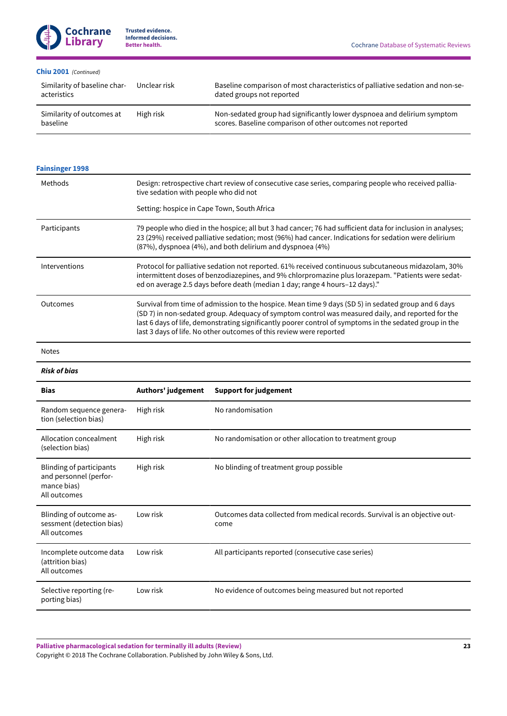### **[Chiu 2001](#page-18-5)**  *(Continued)*

| Similarity of baseline char-<br>acteristics | Unclear risk | Baseline comparison of most characteristics of palliative sedation and non-se-<br>dated groups not reported                           |
|---------------------------------------------|--------------|---------------------------------------------------------------------------------------------------------------------------------------|
| Similarity of outcomes at<br>baseline       | High risk    | Non-sedated group had significantly lower dyspnoea and delirium symptom<br>scores. Baseline comparison of other outcomes not reported |

| <b>Fainsinger 1998</b> |                                                                                                                                                                                                                                                                                                                                                                                            |
|------------------------|--------------------------------------------------------------------------------------------------------------------------------------------------------------------------------------------------------------------------------------------------------------------------------------------------------------------------------------------------------------------------------------------|
| Methods                | Design: retrospective chart review of consecutive case series, comparing people who received pallia-<br>tive sedation with people who did not                                                                                                                                                                                                                                              |
|                        | Setting: hospice in Cape Town, South Africa                                                                                                                                                                                                                                                                                                                                                |
| Participants           | 79 people who died in the hospice; all but 3 had cancer; 76 had sufficient data for inclusion in analyses;<br>23 (29%) received palliative sedation; most (96%) had cancer. Indications for sedation were delirium<br>(87%), dyspnoea (4%), and both delirium and dyspnoea (4%)                                                                                                            |
| Interventions          | Protocol for palliative sedation not reported. 61% received continuous subcutaneous midazolam, 30%<br>intermittent doses of benzodiazepines, and 9% chlorpromazine plus lorazepam. "Patients were sedat-<br>ed on average 2.5 days before death (median 1 day; range 4 hours-12 days)."                                                                                                    |
| Outcomes               | Survival from time of admission to the hospice. Mean time 9 days (SD 5) in sedated group and 6 days<br>(SD 7) in non-sedated group. Adequacy of symptom control was measured daily, and reported for the<br>last 6 days of life, demonstrating significantly poorer control of symptoms in the sedated group in the<br>last 3 days of life. No other outcomes of this review were reported |
|                        |                                                                                                                                                                                                                                                                                                                                                                                            |

Notes

*Risk of bias*

| <b>Bias</b>                                                                       | Authors' judgement | <b>Support for judgement</b>                                                        |
|-----------------------------------------------------------------------------------|--------------------|-------------------------------------------------------------------------------------|
| Random sequence genera-<br>tion (selection bias)                                  | High risk          | No randomisation                                                                    |
| Allocation concealment<br>(selection bias)                                        | High risk          | No randomisation or other allocation to treatment group                             |
| Blinding of participants<br>and personnel (perfor-<br>mance bias)<br>All outcomes | High risk          | No blinding of treatment group possible                                             |
| Blinding of outcome as-<br>sessment (detection bias)<br>All outcomes              | Low risk           | Outcomes data collected from medical records. Survival is an objective out-<br>come |
| Incomplete outcome data<br>(attrition bias)<br>All outcomes                       | Low risk           | All participants reported (consecutive case series)                                 |
| Selective reporting (re-<br>porting bias)                                         | Low risk           | No evidence of outcomes being measured but not reported                             |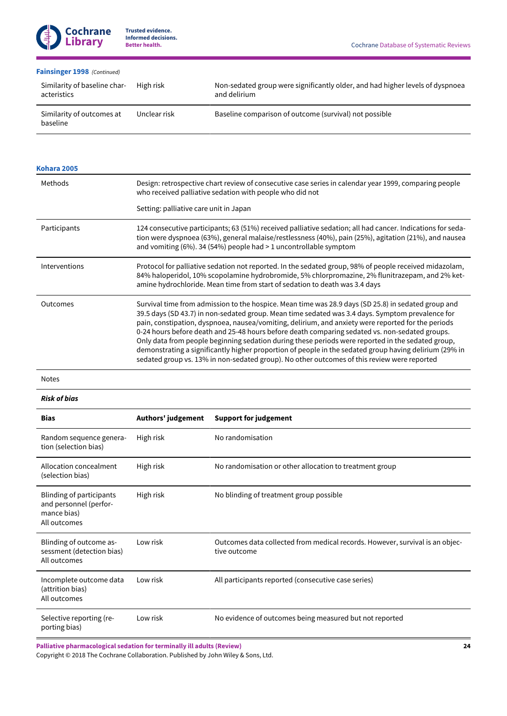### **[Fainsinger](#page-18-6) 1998**  *(Continued)*

| Similarity of baseline char-<br>acteristics | High risk    | Non-sedated group were significantly older, and had higher levels of dyspnoea<br>and delirium |
|---------------------------------------------|--------------|-----------------------------------------------------------------------------------------------|
| Similarity of outcomes at<br>baseline       | Unclear risk | Baseline comparison of outcome (survival) not possible                                        |

### **[Kohara](#page-18-7) 2005**

| Methods       | Design: retrospective chart review of consecutive case series in calendar year 1999, comparing people<br>who received palliative sedation with people who did not                                                                                                                                                                                                                                                                                                                                                                                                                                                                                                                                                             |  |
|---------------|-------------------------------------------------------------------------------------------------------------------------------------------------------------------------------------------------------------------------------------------------------------------------------------------------------------------------------------------------------------------------------------------------------------------------------------------------------------------------------------------------------------------------------------------------------------------------------------------------------------------------------------------------------------------------------------------------------------------------------|--|
|               | Setting: palliative care unit in Japan                                                                                                                                                                                                                                                                                                                                                                                                                                                                                                                                                                                                                                                                                        |  |
| Participants  | 124 consecutive participants; 63 (51%) received palliative sedation; all had cancer. Indications for seda-<br>tion were dyspnoea (63%), general malaise/restlessness (40%), pain (25%), agitation (21%), and nausea<br>and vomiting (6%). 34 (54%) people had > 1 uncontrollable symptom                                                                                                                                                                                                                                                                                                                                                                                                                                      |  |
| Interventions | Protocol for palliative sedation not reported. In the sedated group, 98% of people received midazolam,<br>84% haloperidol, 10% scopolamine hydrobromide, 5% chlorpromazine, 2% flunitrazepam, and 2% ket-<br>amine hydrochloride. Mean time from start of sedation to death was 3.4 days                                                                                                                                                                                                                                                                                                                                                                                                                                      |  |
| Outcomes      | Survival time from admission to the hospice. Mean time was 28.9 days (SD 25.8) in sedated group and<br>39.5 days (SD 43.7) in non-sedated group. Mean time sedated was 3.4 days. Symptom prevalence for<br>pain, constipation, dyspnoea, nausea/vomiting, delirium, and anxiety were reported for the periods<br>0-24 hours before death and 25-48 hours before death comparing sedated vs. non-sedated groups.<br>Only data from people beginning sedation during these periods were reported in the sedated group,<br>demonstrating a significantly higher proportion of people in the sedated group having delirium (29% in<br>sedated group vs. 13% in non-sedated group). No other outcomes of this review were reported |  |

Notes

### *Risk of bias*

| <b>Bias</b>                                                                       | Authors' judgement | <b>Support for judgement</b>                                                                 |
|-----------------------------------------------------------------------------------|--------------------|----------------------------------------------------------------------------------------------|
| Random sequence genera-<br>tion (selection bias)                                  | High risk          | No randomisation                                                                             |
| Allocation concealment<br>(selection bias)                                        | High risk          | No randomisation or other allocation to treatment group                                      |
| Blinding of participants<br>and personnel (perfor-<br>mance bias)<br>All outcomes | High risk          | No blinding of treatment group possible                                                      |
| Blinding of outcome as-<br>sessment (detection bias)<br>All outcomes              | Low risk           | Outcomes data collected from medical records. However, survival is an objec-<br>tive outcome |
| Incomplete outcome data<br>(attrition bias)<br>All outcomes                       | Low risk           | All participants reported (consecutive case series)                                          |
| Selective reporting (re-<br>porting bias)                                         | Low risk           | No evidence of outcomes being measured but not reported                                      |

**Palliative pharmacological sedation for terminally ill adults (Review)**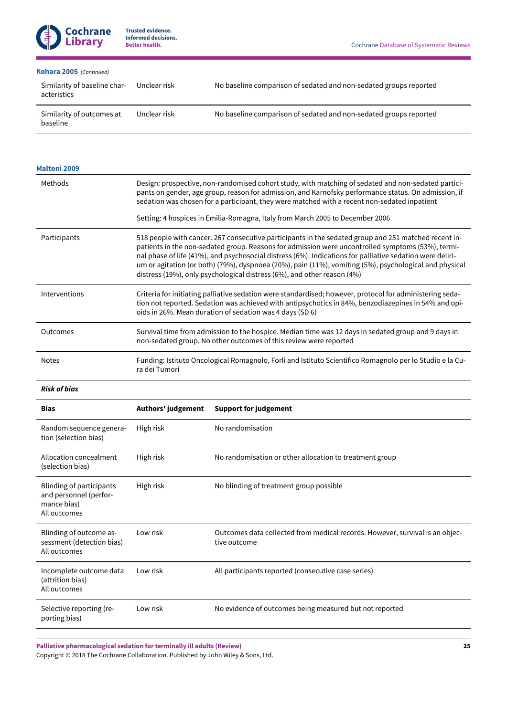### **[Kohara](#page-18-7) 2005**  *(Continued)*

baseline

| Similarity of baseline char-<br>acteristics | Unclear risk | No baseline comparison of sedated and non-sedated groups reported |
|---------------------------------------------|--------------|-------------------------------------------------------------------|
| Similarity of outcomes at                   | Unclear risk | No baseline comparison of sedated and non-sedated groups reported |

| <b>Maltoni 2009</b>                                                                      |                                                                                                                                                                                                                                                                                                             |                                                                                                                                                                                                                                                                                                                                                                                                                                                                                                             |  |  |
|------------------------------------------------------------------------------------------|-------------------------------------------------------------------------------------------------------------------------------------------------------------------------------------------------------------------------------------------------------------------------------------------------------------|-------------------------------------------------------------------------------------------------------------------------------------------------------------------------------------------------------------------------------------------------------------------------------------------------------------------------------------------------------------------------------------------------------------------------------------------------------------------------------------------------------------|--|--|
| Methods                                                                                  | Design: prospective, non-randomised cohort study, with matching of sedated and non-sedated partici-<br>pants on gender, age group, reason for admission, and Karnofsky performance status. On admission, if<br>sedation was chosen for a participant, they were matched with a recent non-sedated inpatient |                                                                                                                                                                                                                                                                                                                                                                                                                                                                                                             |  |  |
|                                                                                          |                                                                                                                                                                                                                                                                                                             | Setting: 4 hospices in Emilia-Romagna, Italy from March 2005 to December 2006                                                                                                                                                                                                                                                                                                                                                                                                                               |  |  |
| Participants                                                                             |                                                                                                                                                                                                                                                                                                             | 518 people with cancer. 267 consecutive participants in the sedated group and 251 matched recent in-<br>patients in the non-sedated group. Reasons for admission were uncontrolled symptoms (53%), termi-<br>nal phase of life (41%), and psychosocial distress (6%). Indications for palliative sedation were deliri-<br>um or agitation (or both) (79%), dyspnoea (20%), pain (11%), vomiting (5%), psychological and physical<br>distress (19%), only psychological distress (6%), and other reason (4%) |  |  |
| Interventions                                                                            |                                                                                                                                                                                                                                                                                                             | Criteria for initiating palliative sedation were standardised; however, protocol for administering seda-<br>tion not reported. Sedation was achieved with antipsychotics in 84%, benzodiazepines in 54% and opi-<br>oids in 26%. Mean duration of sedation was 4 days (SD 6)                                                                                                                                                                                                                                |  |  |
| Outcomes                                                                                 | Survival time from admission to the hospice. Median time was 12 days in sedated group and 9 days in<br>non-sedated group. No other outcomes of this review were reported                                                                                                                                    |                                                                                                                                                                                                                                                                                                                                                                                                                                                                                                             |  |  |
| <b>Notes</b>                                                                             | Funding: Istituto Oncological Romagnolo, Forli and Istituto Scientifico Romagnolo per lo Studio e la Cu-<br>ra dei Tumori                                                                                                                                                                                   |                                                                                                                                                                                                                                                                                                                                                                                                                                                                                                             |  |  |
| <b>Risk of bias</b>                                                                      |                                                                                                                                                                                                                                                                                                             |                                                                                                                                                                                                                                                                                                                                                                                                                                                                                                             |  |  |
| <b>Bias</b>                                                                              | Authors' judgement                                                                                                                                                                                                                                                                                          | <b>Support for judgement</b>                                                                                                                                                                                                                                                                                                                                                                                                                                                                                |  |  |
| Random sequence genera-<br>tion (selection bias)                                         | High risk                                                                                                                                                                                                                                                                                                   | No randomisation                                                                                                                                                                                                                                                                                                                                                                                                                                                                                            |  |  |
| Allocation concealment<br>(selection bias)                                               | High risk                                                                                                                                                                                                                                                                                                   | No randomisation or other allocation to treatment group                                                                                                                                                                                                                                                                                                                                                                                                                                                     |  |  |
| <b>Blinding of participants</b><br>and personnel (perfor-<br>mance bias)<br>All outcomes | High risk                                                                                                                                                                                                                                                                                                   | No blinding of treatment group possible                                                                                                                                                                                                                                                                                                                                                                                                                                                                     |  |  |
| Blinding of outcome as-<br>sessment (detection bias)<br>All outcomes                     | Low risk                                                                                                                                                                                                                                                                                                    | Outcomes data collected from medical records. However, survival is an objec-<br>tive outcome                                                                                                                                                                                                                                                                                                                                                                                                                |  |  |
| Incomplete outcome data<br>(attrition bias)<br>All outcomes                              | Low risk                                                                                                                                                                                                                                                                                                    | All participants reported (consecutive case series)                                                                                                                                                                                                                                                                                                                                                                                                                                                         |  |  |
| Selective reporting (re-                                                                 | Low risk                                                                                                                                                                                                                                                                                                    | No evidence of outcomes being measured but not reported                                                                                                                                                                                                                                                                                                                                                                                                                                                     |  |  |

**Palliative pharmacological sedation for terminally ill adults (Review)**

porting bias)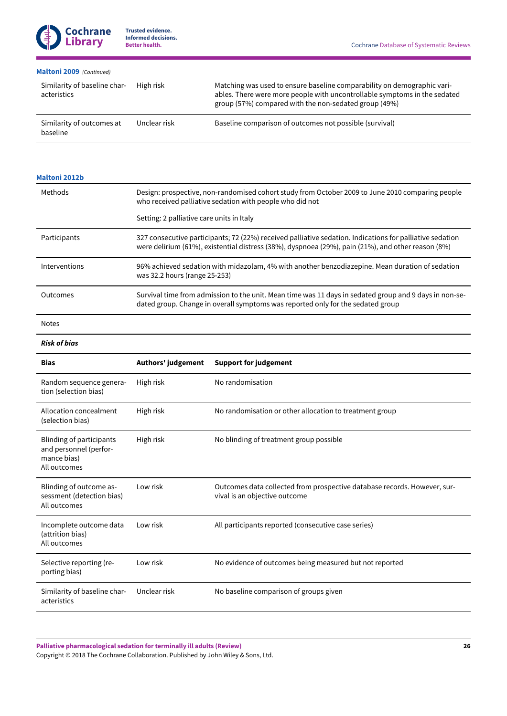

### **[Maltoni](#page-18-8) 2009**  *(Continued)*

| Similarity of baseline char-<br>acteristics | High risk    | Matching was used to ensure baseline comparability on demographic vari-<br>ables. There were more people with uncontrollable symptoms in the sedated<br>group (57%) compared with the non-sedated group (49%) |
|---------------------------------------------|--------------|---------------------------------------------------------------------------------------------------------------------------------------------------------------------------------------------------------------|
| Similarity of outcomes at<br>baseline       | Unclear risk | Baseline comparison of outcomes not possible (survival)                                                                                                                                                       |

### **[Maltoni](#page-18-9) 2012b**

| Methods       | Design: prospective, non-randomised cohort study from October 2009 to June 2010 comparing people<br>who received palliative sedation with people who did not<br>Setting: 2 palliative care units in Italy      |
|---------------|----------------------------------------------------------------------------------------------------------------------------------------------------------------------------------------------------------------|
| Participants  | 327 consecutive participants; 72 (22%) received palliative sedation. Indications for palliative sedation<br>were delirium (61%), existential distress (38%), dyspnoea (29%), pain (21%), and other reason (8%) |
| Interventions | 96% achieved sedation with midazolam, 4% with another benzodiazepine. Mean duration of sedation<br>was 32.2 hours (range 25-253)                                                                               |
| Outcomes      | Survival time from admission to the unit. Mean time was 11 days in sedated group and 9 days in non-se-<br>dated group. Change in overall symptoms was reported only for the sedated group                      |

#### Notes

### *Risk of bias*

| <b>Bias</b>                                                                       | Authors' judgement | <b>Support for judgement</b>                                                                              |
|-----------------------------------------------------------------------------------|--------------------|-----------------------------------------------------------------------------------------------------------|
| Random sequence genera-<br>tion (selection bias)                                  | High risk          | No randomisation                                                                                          |
| Allocation concealment<br>(selection bias)                                        | High risk          | No randomisation or other allocation to treatment group                                                   |
| Blinding of participants<br>and personnel (perfor-<br>mance bias)<br>All outcomes | High risk          | No blinding of treatment group possible                                                                   |
| Blinding of outcome as-<br>sessment (detection bias)<br>All outcomes              | Low risk           | Outcomes data collected from prospective database records. However, sur-<br>vival is an objective outcome |
| Incomplete outcome data<br>(attrition bias)<br>All outcomes                       | Low risk           | All participants reported (consecutive case series)                                                       |
| Selective reporting (re-<br>porting bias)                                         | Low risk           | No evidence of outcomes being measured but not reported                                                   |
| Similarity of baseline char-<br>acteristics                                       | Unclear risk       | No baseline comparison of groups given                                                                    |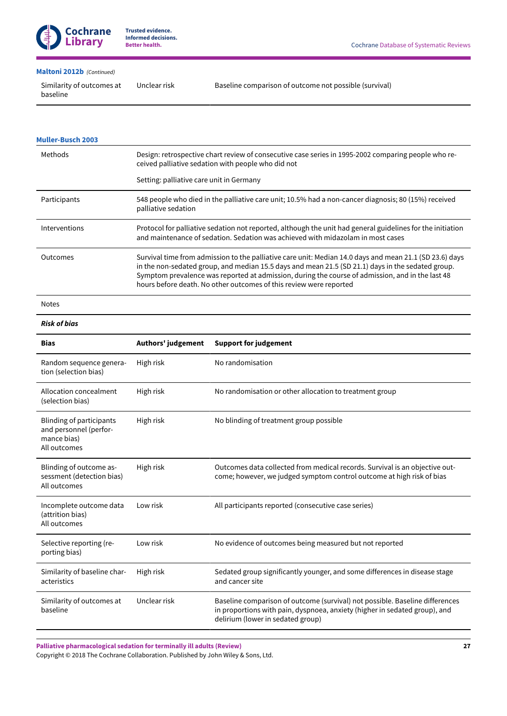

### **[Maltoni](#page-18-9) 2012b**  *(Continued)*

Similarity of outcomes at baseline

Unclear risk Baseline comparison of outcome not possible (survival)

| <b>Muller-Busch 2003</b>                                                                 |                                                                                                                                                                                                                                                                                                                                                                                        |                                                                                                                                                                                                 |  |
|------------------------------------------------------------------------------------------|----------------------------------------------------------------------------------------------------------------------------------------------------------------------------------------------------------------------------------------------------------------------------------------------------------------------------------------------------------------------------------------|-------------------------------------------------------------------------------------------------------------------------------------------------------------------------------------------------|--|
| Methods                                                                                  | Design: retrospective chart review of consecutive case series in 1995-2002 comparing people who re-<br>ceived palliative sedation with people who did not                                                                                                                                                                                                                              |                                                                                                                                                                                                 |  |
|                                                                                          | Setting: palliative care unit in Germany                                                                                                                                                                                                                                                                                                                                               |                                                                                                                                                                                                 |  |
| Participants                                                                             | palliative sedation                                                                                                                                                                                                                                                                                                                                                                    | 548 people who died in the palliative care unit; 10.5% had a non-cancer diagnosis; 80 (15%) received                                                                                            |  |
| Interventions                                                                            |                                                                                                                                                                                                                                                                                                                                                                                        | Protocol for palliative sedation not reported, although the unit had general guidelines for the initiation<br>and maintenance of sedation. Sedation was achieved with midazolam in most cases   |  |
| Outcomes                                                                                 | Survival time from admission to the palliative care unit: Median 14.0 days and mean 21.1 (SD 23.6) days<br>in the non-sedated group, and median 15.5 days and mean 21.5 (SD 21.1) days in the sedated group.<br>Symptom prevalence was reported at admission, during the course of admission, and in the last 48<br>hours before death. No other outcomes of this review were reported |                                                                                                                                                                                                 |  |
| <b>Notes</b>                                                                             |                                                                                                                                                                                                                                                                                                                                                                                        |                                                                                                                                                                                                 |  |
| <b>Risk of bias</b>                                                                      |                                                                                                                                                                                                                                                                                                                                                                                        |                                                                                                                                                                                                 |  |
| <b>Bias</b>                                                                              | Authors' judgement                                                                                                                                                                                                                                                                                                                                                                     | <b>Support for judgement</b>                                                                                                                                                                    |  |
| Random sequence genera-<br>tion (selection bias)                                         | High risk                                                                                                                                                                                                                                                                                                                                                                              | No randomisation                                                                                                                                                                                |  |
| Allocation concealment<br>(selection bias)                                               | High risk                                                                                                                                                                                                                                                                                                                                                                              | No randomisation or other allocation to treatment group                                                                                                                                         |  |
| <b>Blinding of participants</b><br>and personnel (perfor-<br>mance bias)<br>All outcomes | High risk                                                                                                                                                                                                                                                                                                                                                                              | No blinding of treatment group possible                                                                                                                                                         |  |
| Blinding of outcome as-<br>sessment (detection bias)<br>All outcomes                     | High risk                                                                                                                                                                                                                                                                                                                                                                              | Outcomes data collected from medical records. Survival is an objective out-<br>come; however, we judged symptom control outcome at high risk of bias                                            |  |
| Incomplete outcome data<br>(attrition bias)<br>All outcomes                              | Low risk                                                                                                                                                                                                                                                                                                                                                                               | All participants reported (consecutive case series)                                                                                                                                             |  |
| Selective reporting (re-<br>porting bias)                                                | Low risk                                                                                                                                                                                                                                                                                                                                                                               | No evidence of outcomes being measured but not reported                                                                                                                                         |  |
| Similarity of baseline char-<br>acteristics                                              | High risk                                                                                                                                                                                                                                                                                                                                                                              | Sedated group significantly younger, and some differences in disease stage<br>and cancer site                                                                                                   |  |
| Similarity of outcomes at<br>baseline                                                    | Unclear risk                                                                                                                                                                                                                                                                                                                                                                           | Baseline comparison of outcome (survival) not possible. Baseline differences<br>in proportions with pain, dyspnoea, anxiety (higher in sedated group), and<br>delirium (lower in sedated group) |  |

**Palliative pharmacological sedation for terminally ill adults (Review)**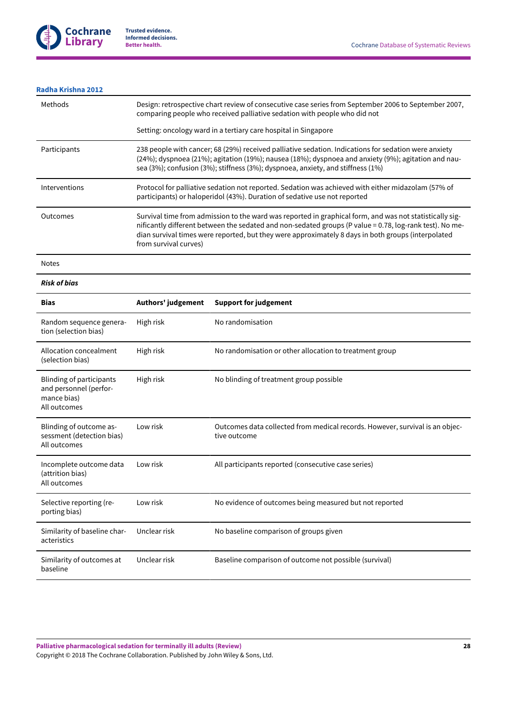

### **Radha [Krishna](#page-18-11) 2012**

| Methods       | Design: retrospective chart review of consecutive case series from September 2006 to September 2007,<br>comparing people who received palliative sedation with people who did not<br>Setting: oncology ward in a tertiary care hospital in Singapore                                                                                              |
|---------------|---------------------------------------------------------------------------------------------------------------------------------------------------------------------------------------------------------------------------------------------------------------------------------------------------------------------------------------------------|
| Participants  | 238 people with cancer; 68 (29%) received palliative sedation. Indications for sedation were anxiety<br>(24%); dyspnoea (21%); agitation (19%); nausea (18%); dyspnoea and anxiety (9%); agitation and nau-<br>sea (3%); confusion (3%); stiffness (3%); dyspnoea, anxiety, and stiffness (1%)                                                    |
| Interventions | Protocol for palliative sedation not reported. Sedation was achieved with either midazolam (57% of<br>participants) or haloperidol (43%). Duration of sedative use not reported                                                                                                                                                                   |
| Outcomes      | Survival time from admission to the ward was reported in graphical form, and was not statistically sig-<br>nificantly different between the sedated and non-sedated groups (P value = 0.78, log-rank test). No me-<br>dian survival times were reported, but they were approximately 8 days in both groups (interpolated<br>from survival curves) |

Notes

*Risk of bias*

| <b>Bias</b>                                                                       | Authors' judgement | <b>Support for judgement</b>                                                                 |
|-----------------------------------------------------------------------------------|--------------------|----------------------------------------------------------------------------------------------|
| Random sequence genera-<br>tion (selection bias)                                  | High risk          | No randomisation                                                                             |
| Allocation concealment<br>(selection bias)                                        | High risk          | No randomisation or other allocation to treatment group                                      |
| Blinding of participants<br>and personnel (perfor-<br>mance bias)<br>All outcomes | High risk          | No blinding of treatment group possible                                                      |
| Blinding of outcome as-<br>sessment (detection bias)<br>All outcomes              | Low risk           | Outcomes data collected from medical records. However, survival is an objec-<br>tive outcome |
| Incomplete outcome data<br>(attrition bias)<br>All outcomes                       | Low risk           | All participants reported (consecutive case series)                                          |
| Selective reporting (re-<br>porting bias)                                         | Low risk           | No evidence of outcomes being measured but not reported                                      |
| Similarity of baseline char-<br>acteristics                                       | Unclear risk       | No baseline comparison of groups given                                                       |
| Similarity of outcomes at<br>baseline                                             | Unclear risk       | Baseline comparison of outcome not possible (survival)                                       |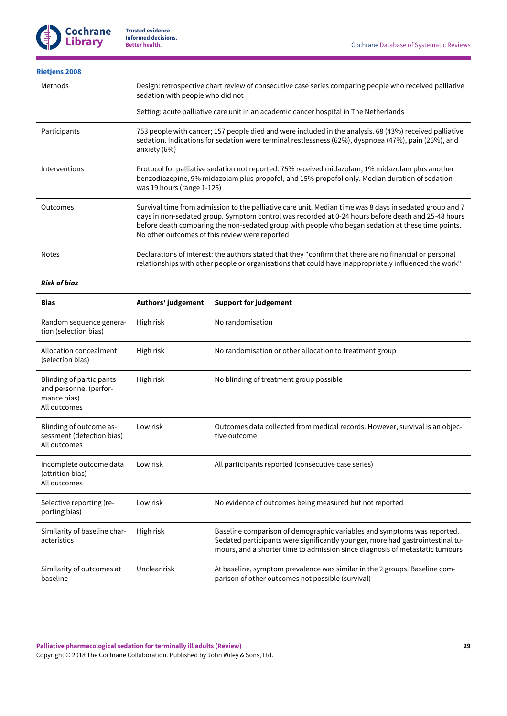**Cochrane Library**

**[Rietjens](#page-18-12) 2008**

| Methods                                                                                  | Design: retrospective chart review of consecutive case series comparing people who received palliative<br>sedation with people who did not                                                                                                                                                                                                                           |                                                                                                                                                                                                                                           |
|------------------------------------------------------------------------------------------|----------------------------------------------------------------------------------------------------------------------------------------------------------------------------------------------------------------------------------------------------------------------------------------------------------------------------------------------------------------------|-------------------------------------------------------------------------------------------------------------------------------------------------------------------------------------------------------------------------------------------|
|                                                                                          | Setting: acute palliative care unit in an academic cancer hospital in The Netherlands                                                                                                                                                                                                                                                                                |                                                                                                                                                                                                                                           |
| Participants                                                                             | 753 people with cancer; 157 people died and were included in the analysis. 68 (43%) received palliative<br>sedation. Indications for sedation were terminal restlessness (62%), dyspnoea (47%), pain (26%), and<br>anxiety (6%)                                                                                                                                      |                                                                                                                                                                                                                                           |
| Interventions                                                                            | Protocol for palliative sedation not reported. 75% received midazolam, 1% midazolam plus another<br>benzodiazepine, 9% midazolam plus propofol, and 15% propofol only. Median duration of sedation<br>was 19 hours (range 1-125)                                                                                                                                     |                                                                                                                                                                                                                                           |
| Outcomes                                                                                 | Survival time from admission to the palliative care unit. Median time was 8 days in sedated group and 7<br>days in non-sedated group. Symptom control was recorded at 0-24 hours before death and 25-48 hours<br>before death comparing the non-sedated group with people who began sedation at these time points.<br>No other outcomes of this review were reported |                                                                                                                                                                                                                                           |
| <b>Notes</b>                                                                             | Declarations of interest: the authors stated that they "confirm that there are no financial or personal<br>relationships with other people or organisations that could have inappropriately influenced the work"                                                                                                                                                     |                                                                                                                                                                                                                                           |
| <b>Risk of bias</b>                                                                      |                                                                                                                                                                                                                                                                                                                                                                      |                                                                                                                                                                                                                                           |
| Bias                                                                                     | Authors' judgement                                                                                                                                                                                                                                                                                                                                                   | <b>Support for judgement</b>                                                                                                                                                                                                              |
| Random sequence genera-<br>tion (selection bias)                                         | High risk                                                                                                                                                                                                                                                                                                                                                            | No randomisation                                                                                                                                                                                                                          |
| Allocation concealment<br>(selection bias)                                               | High risk                                                                                                                                                                                                                                                                                                                                                            | No randomisation or other allocation to treatment group                                                                                                                                                                                   |
| <b>Blinding of participants</b><br>and personnel (perfor-<br>mance bias)<br>All outcomes | High risk                                                                                                                                                                                                                                                                                                                                                            | No blinding of treatment group possible                                                                                                                                                                                                   |
| Blinding of outcome as-<br>sessment (detection bias)<br>All outcomes                     | Low risk                                                                                                                                                                                                                                                                                                                                                             | Outcomes data collected from medical records. However, survival is an objec-<br>tive outcome                                                                                                                                              |
| Incomplete outcome data<br>(attrition bias)<br>All outcomes                              | Low risk                                                                                                                                                                                                                                                                                                                                                             | All participants reported (consecutive case series)                                                                                                                                                                                       |
| Selective reporting (re-<br>porting bias)                                                | Low risk                                                                                                                                                                                                                                                                                                                                                             | No evidence of outcomes being measured but not reported                                                                                                                                                                                   |
| Similarity of baseline char-<br>acteristics                                              | High risk                                                                                                                                                                                                                                                                                                                                                            | Baseline comparison of demographic variables and symptoms was reported.<br>Sedated participants were significantly younger, more had gastrointestinal tu-<br>mours, and a shorter time to admission since diagnosis of metastatic tumours |
| Similarity of outcomes at<br>baseline                                                    | Unclear risk                                                                                                                                                                                                                                                                                                                                                         | At baseline, symptom prevalence was similar in the 2 groups. Baseline com-<br>parison of other outcomes not possible (survival)                                                                                                           |
|                                                                                          |                                                                                                                                                                                                                                                                                                                                                                      |                                                                                                                                                                                                                                           |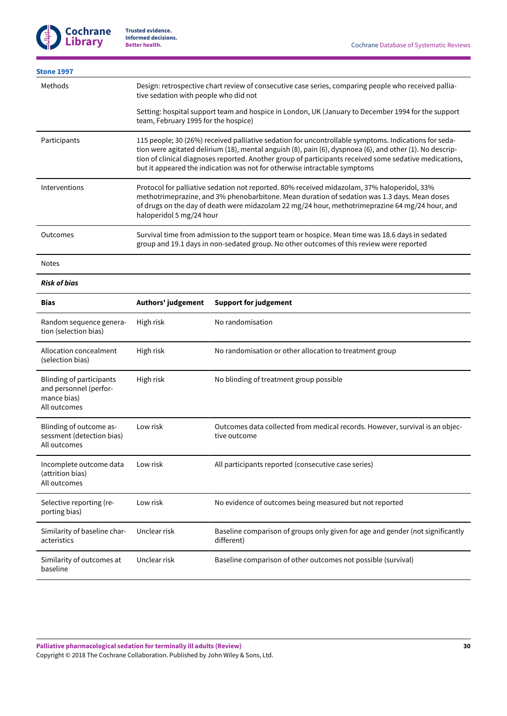| <b>Stone 1997</b>                                                                        |                                                                                                                                                                                                                                                                                                                                                                                                         |                                                                                              |  |
|------------------------------------------------------------------------------------------|---------------------------------------------------------------------------------------------------------------------------------------------------------------------------------------------------------------------------------------------------------------------------------------------------------------------------------------------------------------------------------------------------------|----------------------------------------------------------------------------------------------|--|
| Methods                                                                                  | Design: retrospective chart review of consecutive case series, comparing people who received pallia-<br>tive sedation with people who did not                                                                                                                                                                                                                                                           |                                                                                              |  |
|                                                                                          | Setting: hospital support team and hospice in London, UK (January to December 1994 for the support<br>team, February 1995 for the hospice)                                                                                                                                                                                                                                                              |                                                                                              |  |
| Participants                                                                             | 115 people; 30 (26%) received palliative sedation for uncontrollable symptoms. Indications for seda-<br>tion were agitated delirium (18), mental anguish (8), pain (6), dyspnoea (6), and other (1). No descrip-<br>tion of clinical diagnoses reported. Another group of participants received some sedative medications,<br>but it appeared the indication was not for otherwise intractable symptoms |                                                                                              |  |
| Interventions                                                                            | Protocol for palliative sedation not reported. 80% received midazolam, 37% haloperidol, 33%<br>methotrimeprazine, and 3% phenobarbitone. Mean duration of sedation was 1.3 days. Mean doses<br>of drugs on the day of death were midazolam 22 mg/24 hour, methotrimeprazine 64 mg/24 hour, and<br>haloperidol 5 mg/24 hour                                                                              |                                                                                              |  |
| Outcomes                                                                                 | Survival time from admission to the support team or hospice. Mean time was 18.6 days in sedated<br>group and 19.1 days in non-sedated group. No other outcomes of this review were reported                                                                                                                                                                                                             |                                                                                              |  |
| <b>Notes</b>                                                                             |                                                                                                                                                                                                                                                                                                                                                                                                         |                                                                                              |  |
| <b>Risk of bias</b>                                                                      |                                                                                                                                                                                                                                                                                                                                                                                                         |                                                                                              |  |
| <b>Bias</b>                                                                              | Authors' judgement                                                                                                                                                                                                                                                                                                                                                                                      | <b>Support for judgement</b>                                                                 |  |
| Random sequence genera-<br>tion (selection bias)                                         | High risk                                                                                                                                                                                                                                                                                                                                                                                               | No randomisation                                                                             |  |
| Allocation concealment<br>(selection bias)                                               | High risk                                                                                                                                                                                                                                                                                                                                                                                               | No randomisation or other allocation to treatment group                                      |  |
| <b>Blinding of participants</b><br>and personnel (perfor-<br>mance bias)<br>All outcomes | High risk                                                                                                                                                                                                                                                                                                                                                                                               | No blinding of treatment group possible                                                      |  |
| Blinding of outcome as-<br>sessment (detection bias)<br>All outcomes                     | Low risk                                                                                                                                                                                                                                                                                                                                                                                                | Outcomes data collected from medical records. However, survival is an objec-<br>tive outcome |  |
| Incomplete outcome data<br>(attrition bias)<br>All outcomes                              | Low risk                                                                                                                                                                                                                                                                                                                                                                                                | All participants reported (consecutive case series)                                          |  |
| Selective reporting (re-<br>porting bias)                                                | Low risk                                                                                                                                                                                                                                                                                                                                                                                                | No evidence of outcomes being measured but not reported                                      |  |
| Similarity of baseline char-<br>acteristics                                              | Unclear risk                                                                                                                                                                                                                                                                                                                                                                                            | Baseline comparison of groups only given for age and gender (not significantly<br>different) |  |
| Similarity of outcomes at<br>baseline                                                    | Unclear risk                                                                                                                                                                                                                                                                                                                                                                                            | Baseline comparison of other outcomes not possible (survival)                                |  |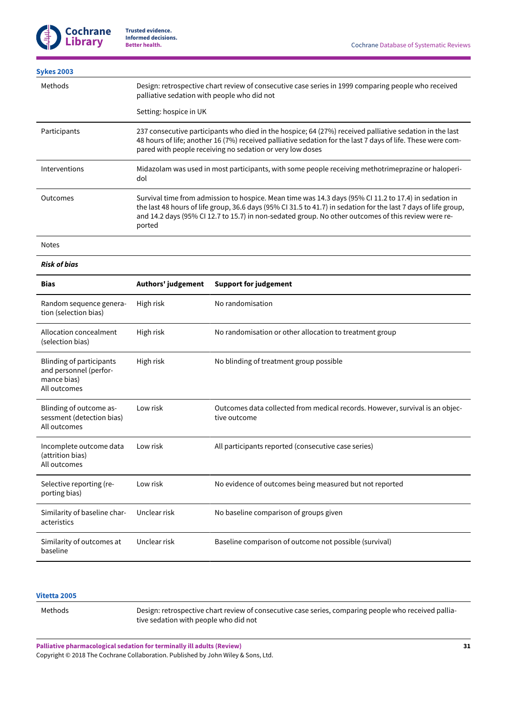| <b>Sykes 2003</b>                                                                        |                                                                                                                                                                                                                                                                                                                                           |                                                                                                    |  |
|------------------------------------------------------------------------------------------|-------------------------------------------------------------------------------------------------------------------------------------------------------------------------------------------------------------------------------------------------------------------------------------------------------------------------------------------|----------------------------------------------------------------------------------------------------|--|
| Methods                                                                                  | Design: retrospective chart review of consecutive case series in 1999 comparing people who received<br>palliative sedation with people who did not                                                                                                                                                                                        |                                                                                                    |  |
|                                                                                          | Setting: hospice in UK                                                                                                                                                                                                                                                                                                                    |                                                                                                    |  |
| Participants                                                                             | 237 consecutive participants who died in the hospice; 64 (27%) received palliative sedation in the last<br>48 hours of life; another 16 (7%) received palliative sedation for the last 7 days of life. These were com-<br>pared with people receiving no sedation or very low doses                                                       |                                                                                                    |  |
| Interventions                                                                            | dol                                                                                                                                                                                                                                                                                                                                       | Midazolam was used in most participants, with some people receiving methotrimeprazine or haloperi- |  |
| Outcomes                                                                                 | Survival time from admission to hospice. Mean time was 14.3 days (95% CI 11.2 to 17.4) in sedation in<br>the last 48 hours of life group, 36.6 days (95% CI 31.5 to 41.7) in sedation for the last 7 days of life group,<br>and 14.2 days (95% CI 12.7 to 15.7) in non-sedated group. No other outcomes of this review were re-<br>ported |                                                                                                    |  |
| <b>Notes</b>                                                                             |                                                                                                                                                                                                                                                                                                                                           |                                                                                                    |  |
| <b>Risk of bias</b>                                                                      |                                                                                                                                                                                                                                                                                                                                           |                                                                                                    |  |
| <b>Bias</b>                                                                              | Authors' judgement                                                                                                                                                                                                                                                                                                                        | <b>Support for judgement</b>                                                                       |  |
| Random sequence genera-<br>tion (selection bias)                                         | High risk                                                                                                                                                                                                                                                                                                                                 | No randomisation                                                                                   |  |
| Allocation concealment<br>(selection bias)                                               | High risk                                                                                                                                                                                                                                                                                                                                 | No randomisation or other allocation to treatment group                                            |  |
| <b>Blinding of participants</b><br>and personnel (perfor-<br>mance bias)<br>All outcomes | High risk                                                                                                                                                                                                                                                                                                                                 | No blinding of treatment group possible                                                            |  |
| Blinding of outcome as-<br>sessment (detection bias)<br>All outcomes                     | Low risk                                                                                                                                                                                                                                                                                                                                  | Outcomes data collected from medical records. However, survival is an objec-<br>tive outcome       |  |
| Incomplete outcome data Low risk<br>(attrition bias)<br>All outcomes                     |                                                                                                                                                                                                                                                                                                                                           | All participants reported (consecutive case series)                                                |  |
| Selective reporting (re-<br>porting bias)                                                | Low risk                                                                                                                                                                                                                                                                                                                                  | No evidence of outcomes being measured but not reported                                            |  |
| Similarity of baseline char-                                                             | Unclear risk                                                                                                                                                                                                                                                                                                                              | No baseline comparison of groups given                                                             |  |

Similarity of outcomes at baseline Unclear risk Baseline comparison of outcome not possible (survival)

#### **[Vitetta](#page-18-15) 2005**

acteristics

Methods Design: retrospective chart review of consecutive case series, comparing people who received palliative sedation with people who did not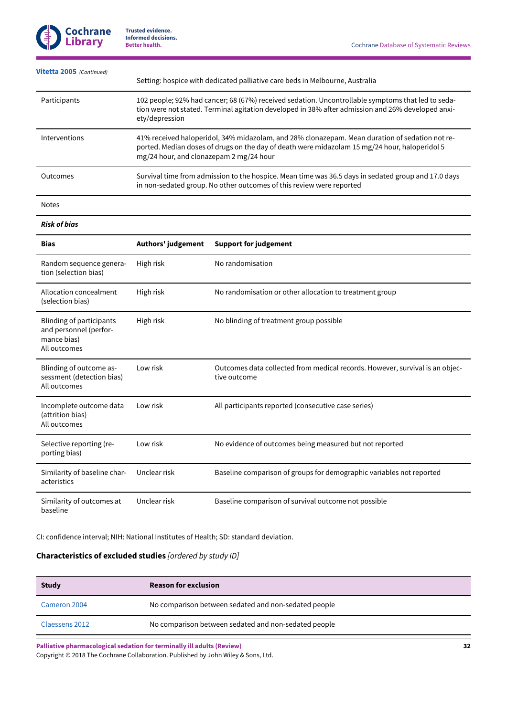| Vitetta 2005 (Continued) | Setting: hospice with dedicated palliative care beds in Melbourne, Australia                                                                                                                                                               |  |
|--------------------------|--------------------------------------------------------------------------------------------------------------------------------------------------------------------------------------------------------------------------------------------|--|
| Participants             | 102 people; 92% had cancer; 68 (67%) received sedation. Uncontrollable symptoms that led to seda-<br>tion were not stated. Terminal agitation developed in 38% after admission and 26% developed anxi-<br>ety/depression                   |  |
| Interventions            | 41% received haloperidol, 34% midazolam, and 28% clonazepam. Mean duration of sedation not re-<br>ported. Median doses of drugs on the day of death were midazolam 15 mg/24 hour, haloperidol 5<br>mg/24 hour, and clonazepam 2 mg/24 hour |  |
| Outcomes                 | Survival time from admission to the hospice. Mean time was 36.5 days in sedated group and 17.0 days<br>in non-sedated group. No other outcomes of this review were reported                                                                |  |
|                          |                                                                                                                                                                                                                                            |  |

Notes

*Risk of bias*

| <b>Bias</b>                                                                              | Authors' judgement | <b>Support for judgement</b>                                                                 |
|------------------------------------------------------------------------------------------|--------------------|----------------------------------------------------------------------------------------------|
| Random sequence genera-<br>tion (selection bias)                                         | High risk          | No randomisation                                                                             |
| Allocation concealment<br>(selection bias)                                               | High risk          | No randomisation or other allocation to treatment group                                      |
| <b>Blinding of participants</b><br>and personnel (perfor-<br>mance bias)<br>All outcomes | High risk          | No blinding of treatment group possible                                                      |
| Blinding of outcome as-<br>sessment (detection bias)<br>All outcomes                     | Low risk           | Outcomes data collected from medical records. However, survival is an objec-<br>tive outcome |
| Incomplete outcome data<br>(attrition bias)<br>All outcomes                              | Low risk           | All participants reported (consecutive case series)                                          |
| Selective reporting (re-<br>porting bias)                                                | Low risk           | No evidence of outcomes being measured but not reported                                      |
| Similarity of baseline char-<br>acteristics                                              | Unclear risk       | Baseline comparison of groups for demographic variables not reported                         |
| Similarity of outcomes at<br>baseline                                                    | Unclear risk       | Baseline comparison of survival outcome not possible                                         |

CI: confidence interval; NIH: National Institutes of Health; SD: standard deviation.

# <span id="page-33-0"></span>**Characteristics of excluded studies** *[ordered by study ID]*

| <b>Study</b>   | <b>Reason for exclusion</b>                          |
|----------------|------------------------------------------------------|
| Cameron 2004   | No comparison between sedated and non-sedated people |
| Claessens 2012 | No comparison between sedated and non-sedated people |

**Palliative pharmacological sedation for terminally ill adults (Review)**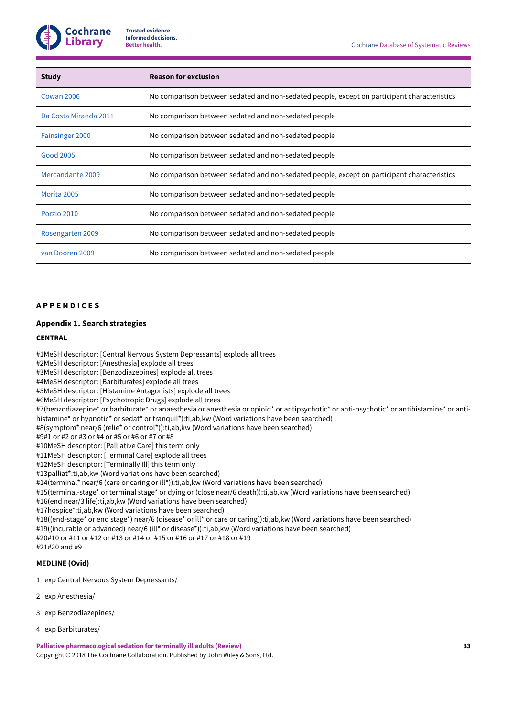

| <b>Study</b>          | <b>Reason for exclusion</b>                                                                 |
|-----------------------|---------------------------------------------------------------------------------------------|
| Cowan 2006            | No comparison between sedated and non-sedated people, except on participant characteristics |
| Da Costa Miranda 2011 | No comparison between sedated and non-sedated people                                        |
| Fainsinger 2000       | No comparison between sedated and non-sedated people                                        |
| Good 2005             | No comparison between sedated and non-sedated people                                        |
| Mercandante 2009      | No comparison between sedated and non-sedated people, except on participant characteristics |
| Morita 2005           | No comparison between sedated and non-sedated people                                        |
| Porzio 2010           | No comparison between sedated and non-sedated people                                        |
| Rosengarten 2009      | No comparison between sedated and non-sedated people                                        |
| van Dooren 2009       | No comparison between sedated and non-sedated people                                        |

### <span id="page-34-0"></span>**A P P E N D I C E S**

### <span id="page-34-1"></span>**Appendix 1.Search strategies**

#### **CENTRAL**

#1MeSH descriptor: [Central Nervous System Depressants] explode all trees

#2MeSH descriptor: [Anesthesia] explode all trees

#3MeSH descriptor: [Benzodiazepines] explode all trees

- #4MeSH descriptor: [Barbiturates] explode all trees
- #5MeSH descriptor: [Histamine Antagonists] explode all trees
- #6MeSH descriptor: [Psychotropic Drugs] explode all trees

#7(benzodiazepine\* or barbiturate\* or anaesthesia or anesthesia or opioid\* or antipsychotic\* or anti-psychotic\* or antihistamine\* or antihistamine\* or hypnotic\* or sedat\* or tranquil\*):ti,ab,kw (Word variations have been searched)

- #8(symptom\* near/6 (relie\* or control\*)):ti,ab,kw (Word variations have been searched)
- #9#1 or #2 or #3 or #4 or #5 or #6 or #7 or #8
- #10MeSH descriptor: [Palliative Care] this term only
- #11MeSH descriptor: [Terminal Care] explode all trees
- #12MeSH descriptor: [Terminally Ill] this term only
- #13palliat\*:ti,ab,kw (Word variations have been searched)
- #14(terminal\* near/6 (care or caring or ill\*)):ti,ab,kw (Word variations have been searched)
- #15(terminal-stage\* or terminal stage\* or dying or (close near/6 death)):ti,ab,kw (Word variations have been searched)
- #16(end near/3 life):ti,ab,kw (Word variations have been searched)
- #17hospice\*:ti,ab,kw (Word variations have been searched)
- #18((end-stage\* or end stage\*) near/6 (disease\* or ill\* or care or caring)):ti,ab,kw (Word variations have been searched)
- #19((incurable or advanced) near/6 (ill\* or disease\*)):ti,ab,kw (Word variations have been searched)
- #20#10 or #11 or #12 or #13 or #14 or #15 or #16 or #17 or #18 or #19
- #21#20 and #9

### **MEDLINE (Ovid)**

- 1 exp Central Nervous System Depressants/
- 2 exp Anesthesia/
- 3 exp Benzodiazepines/
- 4 exp Barbiturates/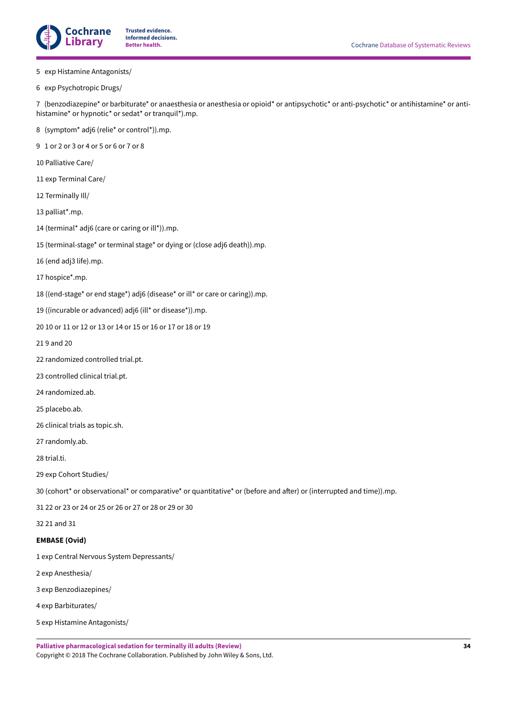

- exp Histamine Antagonists/
- exp Psychotropic Drugs/

 (benzodiazepine\* or barbiturate\* or anaesthesia or anesthesia or opioid\* or antipsychotic\* or anti-psychotic\* or antihistamine\* or antihistamine\* or hypnotic\* or sedat\* or tranquil\*).mp.

- (symptom\* adj6 (relie\* or control\*)).mp.
- 9 1 or 2 or 3 or 4 or 5 or 6 or 7 or 8
- Palliative Care/
- exp Terminal Care/
- Terminally Ill/
- palliat\*.mp.
- (terminal\* adj6 (care or caring or ill\*)).mp.
- (terminal-stage\* or terminal stage\* or dying or (close adj6 death)).mp.
- (end adj3 life).mp.
- hospice\*.mp.
- ((end-stage\* or end stage\*) adj6 (disease\* or ill\* or care or caring)).mp.
- ((incurable or advanced) adj6 (ill\* or disease\*)).mp.
- 20 10 or 11 or 12 or 13 or 14 or 15 or 16 or 17 or 18 or 19
- 21 9 and 20
- randomized controlled trial.pt.
- controlled clinical trial.pt.
- randomized.ab.
- placebo.ab.
- clinical trials as topic.sh.
- randomly.ab.
- trial.ti.
- exp Cohort Studies/

30 (cohort\* or observational\* or comparative\* or quantitative\* or (before and after) or (interrupted and time)).mp.

31 22 or 23 or 24 or 25 or 26 or 27 or 28 or 29 or 30

32 21 and 31

### **EMBASE (Ovid)**

- exp Central Nervous System Depressants/
- exp Anesthesia/
- exp Benzodiazepines/
- exp Barbiturates/
- exp Histamine Antagonists/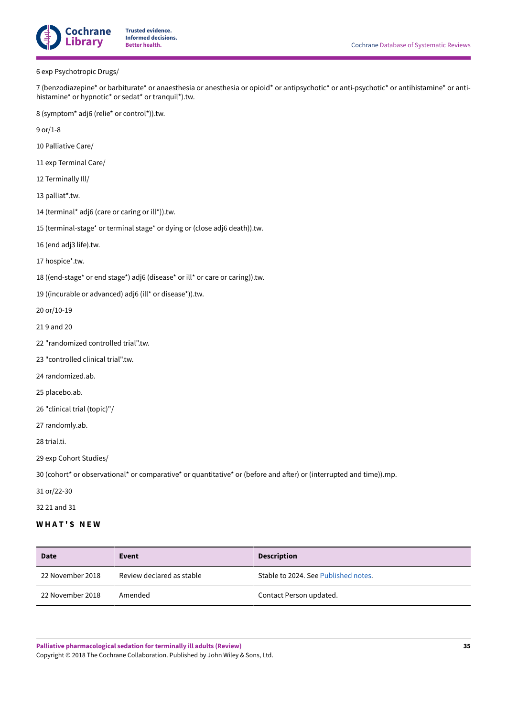

#### exp Psychotropic Drugs/

 (benzodiazepine\* or barbiturate\* or anaesthesia or anesthesia or opioid\* or antipsychotic\* or anti-psychotic\* or antihistamine\* or antihistamine\* or hypnotic\* or sedat\* or tranquil\*).tw.

(symptom\* adj6 (relie\* or control\*)).tw.

or/1-8

- Palliative Care/
- exp Terminal Care/
- Terminally Ill/
- palliat\*.tw.
- (terminal\* adj6 (care or caring or ill\*)).tw.
- (terminal-stage\* or terminal stage\* or dying or (close adj6 death)).tw.
- (end adj3 life).tw.
- hospice\*.tw.
- ((end-stage\* or end stage\*) adj6 (disease\* or ill\* or care or caring)).tw.
- ((incurable or advanced) adj6 (ill\* or disease\*)).tw.
- or/10-19
- 21 9 and 20
- "randomized controlled trial".tw.
- "controlled clinical trial".tw.
- randomized.ab.
- placebo.ab.
- "clinical trial (topic)"/
- randomly.ab.
- trial.ti.
- exp Cohort Studies/

30 (cohort\* or observational\* or comparative\* or quantitative\* or (before and after) or (interrupted and time)).mp.

- or/22-30
- 32 21 and 31

# <span id="page-36-0"></span>**W H A T ' S N E W**

| <b>Date</b>      | Event                     | <b>Description</b>                   |
|------------------|---------------------------|--------------------------------------|
| 22 November 2018 | Review declared as stable | Stable to 2024. See Published notes. |
| 22 November 2018 | Amended                   | Contact Person updated.              |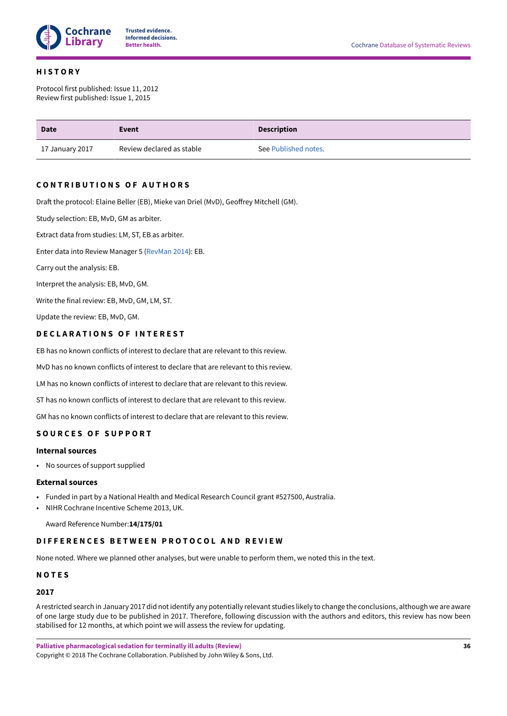

### <span id="page-37-0"></span>**H I S T O R Y**

Protocol first published: Issue 11, 2012 Review first published: Issue 1, 2015

| <b>Date</b>     | Event                     | <b>Description</b>   |
|-----------------|---------------------------|----------------------|
| 17 January 2017 | Review declared as stable | See Published notes. |

# <span id="page-37-1"></span>**C O N T R I B U T I O N S O F A U T H O R S**

Draft the protocol: Elaine Beller (EB), Mieke van Driel (MvD), Geoffrey Mitchell (GM).

Study selection: EB, MvD, GM as arbiter.

Extract data from studies: LM, ST, EB as arbiter.

Enter data into Review Manager 5 [\(RevMan](#page-19-11) 2014): EB.

Carry out the analysis: EB.

Interpret the analysis: EB, MvD, GM.

Write the final review: EB, MvD, GM, LM, ST.

Update the review: EB, MvD, GM.

# <span id="page-37-2"></span>**D E C L A R A T I O N S O F I N T E R E S T**

EB has no known conflicts of interest to declare that are relevant to this review.

MvD has no known conflicts of interest to declare that are relevant to this review.

LM has no known conflicts of interest to declare that are relevant to this review.

ST has no known conflicts of interest to declare that are relevant to this review.

GM has no known conflicts of interest to declare that are relevant to this review.

# <span id="page-37-3"></span>**S O U R C E S O F S U P P O R T**

### **Internal sources**

• No sources of support supplied

### **External sources**

- Funded in part by a National Health and Medical Research Council grant #527500, Australia.
- NIHR Cochrane Incentive Scheme 2013, UK.

Award Reference Number:**14/175/01**

### <span id="page-37-4"></span>**DIFFERENCES BETWEEN PROTOCOL AND REVIEW**

None noted. Where we planned other analyses, but were unable to perform them, we noted this in the text.

### <span id="page-37-5"></span>**N O T E S**

### **2017**

A restricted search in January 2017 did notidentify any potentially relevant studies likely to change the conclusions, although we are aware of one large study due to be published in 2017. Therefore, following discussion with the authors and editors, this review has now been stabilised for 12 months, at which point we will assess the review for updating.